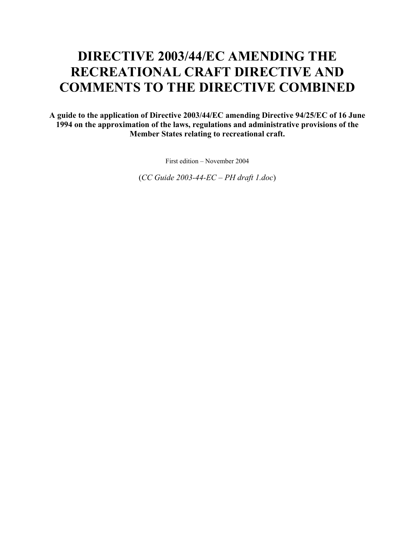# **DIRECTIVE 2003/44/EC AMENDING THE RECREATIONAL CRAFT DIRECTIVE AND COMMENTS TO THE DIRECTIVE COMBINED**

**A guide to the application of Directive 2003/44/EC amending Directive 94/25/EC of 16 June 1994 on the approximation of the laws, regulations and administrative provisions of the Member States relating to recreational craft.** 

First edition – November 2004

(*CC Guide 2003-44-EC – PH draft 1.doc*)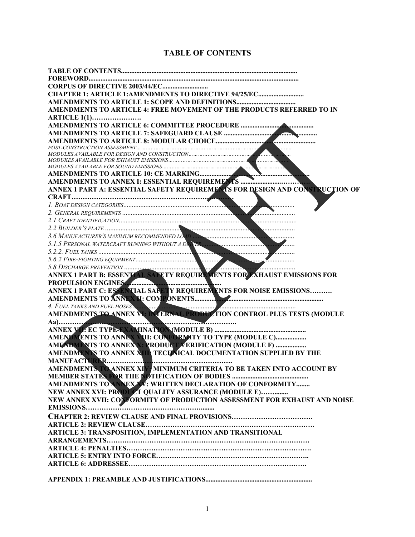# **TABLE OF CONTENTS**

| <b>CORPUS OF DIRECTIVE 2003/44/EC</b>                                           |
|---------------------------------------------------------------------------------|
|                                                                                 |
|                                                                                 |
| AMENDMENTS TO ARTICLE 4: FREE MOVEMENT OF THE PRODUCTS REFERRED TO IN           |
| <b>ARTICLE 1(1)</b>                                                             |
|                                                                                 |
|                                                                                 |
|                                                                                 |
| .                                                                               |
| MODULES AVAILABLE FOR DESIGN AND CONSTRUCTION                                   |
|                                                                                 |
|                                                                                 |
|                                                                                 |
|                                                                                 |
| ANNEX 1 PART A: ESSENTIAL SAFETY REQUIREMENTS FOR DESIGN AND CONSTRUCTION OF    |
|                                                                                 |
|                                                                                 |
| <b><i>Provincial American</i></b>                                               |
| $\sum_{i=1}^{n}$                                                                |
|                                                                                 |
| 3.6 MANUFACTURER'S MAXIMUM RECOMMENDED LOAD EXECUTION CONTRACTOR CONTRACTOR     |
| 5.1.5 PERSONAL WATERCRAFT RUNNING WITHOUT A DRIVER                              |
|                                                                                 |
|                                                                                 |
|                                                                                 |
|                                                                                 |
| PROPULSION ENGINES                                                              |
|                                                                                 |
|                                                                                 |
| 4. FUEL TANKS AND FUEL HOSES. WE INTERNAL PRODUCTION CONTROL PLUS TESTS (MODULE |
|                                                                                 |
| <b>Marian Maria (1996)</b>                                                      |
|                                                                                 |
| AMENT MENTS TO ANNEX VIII: CONFORMATY TO TYPE (MODULE C)                        |
| AMENDATISTO ANNEXX: RRODUCT VERIFICATION (MODULE F)                             |
| AMENDMENTS TO ANNEX ATTLE TECHNICAL DOCUMENTATION SUPPLIED BY THE               |
| MANUFACTURER                                                                    |
| AMENDMENTS TO ANNEX XIV, MINIMUM CRITERIA TO BE TAKEN INTO ACCOUNT BY           |
|                                                                                 |
| AMENDMENTS TO ANNEXAV: WRITTEN DECLARATION OF CONFORMITY                        |
| NEW ANNEX XVI: PRODUCT QUALITY ASSURANCE (MODULE E)                             |
| NEW ANNEX XVII: CONFORMITY OF PRODUCTION ASSESSMENT FOR EXHAUST AND NOISE       |
|                                                                                 |
|                                                                                 |
|                                                                                 |
| ARTICLE 3: TRANSPOSITION, IMPLEMENTATION AND TRANSITIONAL                       |
|                                                                                 |
|                                                                                 |
|                                                                                 |
|                                                                                 |
|                                                                                 |
|                                                                                 |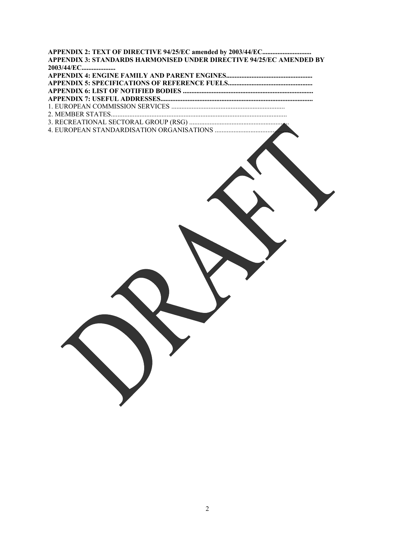| 2003/44/EC       |
|------------------|
|                  |
|                  |
|                  |
|                  |
|                  |
| 2. MEMBER STATES |
|                  |
|                  |
|                  |
|                  |
|                  |
|                  |
|                  |
|                  |
|                  |
|                  |
|                  |
|                  |
|                  |
|                  |
|                  |
|                  |
|                  |
|                  |
|                  |
|                  |
|                  |
|                  |
|                  |
|                  |
|                  |
|                  |
|                  |
|                  |
|                  |
|                  |
|                  |
|                  |
|                  |
|                  |
|                  |
|                  |
|                  |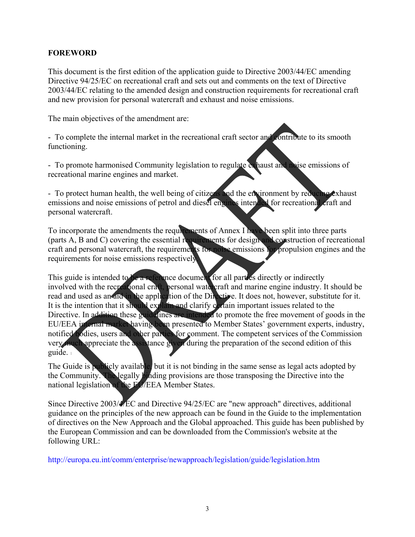# **FOREWORD**

This document is the first edition of the application guide to Directive 2003/44/EC amending Directive 94/25/EC on recreational craft and sets out and comments on the text of Directive 2003/44/EC relating to the amended design and construction requirements for recreational craft and new provision for personal watercraft and exhaust and noise emissions.

The main objectives of the amendment are:

- To complete the internal market in the recreational craft sector and contribute to its smooth functioning.

- To promote harmonised Community legislation to regulate exhaust and noise emissions of recreational marine engines and market.

- To protect human health, the well being of citizens and the environment by reducing exhaust emissions and noise emissions of petrol and diesel engines intended for recreational craft and personal watercraft.

To incorporate the amendments the requirements of Annex I have been split into three parts (parts A, B and C) covering the essential requirements for design and construction of recreational craft and personal watercraft, the requirements for noise emissions for propulsion engines and the requirements for noise emissions respectively.

This guide is intended to be a reference document for all parties directly or indirectly involved with the recreational craft, personal watercraft and marine engine industry. It should be read and used as an aid in the application of the Directive. It does not, however, substitute for it. It is the intention that it should explain and clarify certain important issues related to the Directive. In addition these guidelines are intended to promote the free movement of goods in the EU/EEA internal market having been presented to Member States' government experts, industry, notified bodies, users and other parties for comment. The competent services of the Commission very much appreciate the assistance given during the preparation of the second edition of this guide. 1

The Guide is publicly available, but it is not binding in the same sense as legal acts adopted by the Community. The legally binding provisions are those transposing the Directive into the national legislation of the EL/EEA Member States.

Since Directive 2003/4/EC and Directive 94/25/EC are "new approach" directives, additional guidance on the principles of the new approach can be found in the Guide to the implementation of directives on the New Approach and the Global approached. This guide has been published by the European Commission and can be downloaded from the Commission's website at the following URL:

http://europa.eu.int/comm/enterprise/newapproach/legislation/guide/legislation.htm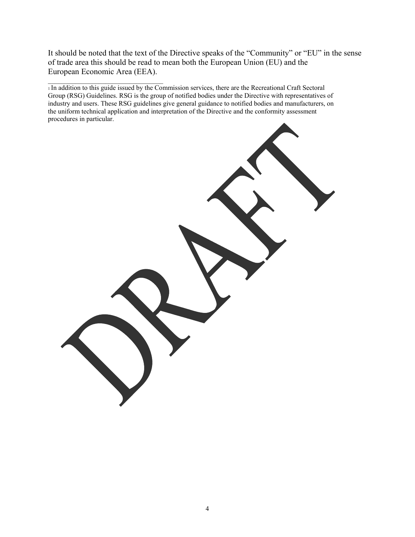It should be noted that the text of the Directive speaks of the "Community" or "EU" in the sense of trade area this should be read to mean both the European Union (EU) and the European Economic Area (EEA).

\_\_\_\_\_\_\_\_\_\_\_\_\_\_\_\_\_\_\_\_\_\_\_\_\_\_\_\_\_\_\_\_\_\_ 1 In addition to this guide issued by the Commission services, there are the Recreational Craft Sectoral Group (RSG) Guidelines. RSG is the group of notified bodies under the Directive with representatives of industry and users. These RSG guidelines give general guidance to notified bodies and manufacturers, on the uniform technical application and interpretation of the Directive and the conformity assessment procedures in particular.

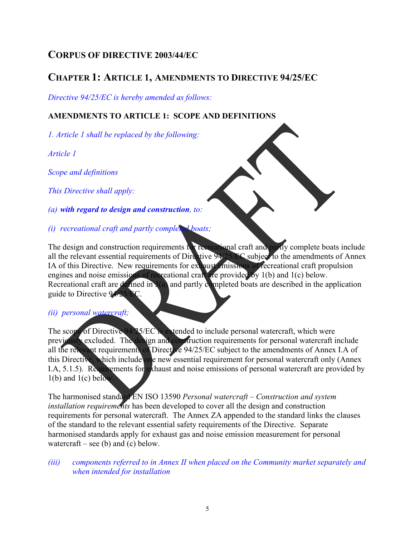# **CORPUS OF DIRECTIVE 2003/44/EC**

# **CHAPTER 1: ARTICLE 1, AMENDMENTS TO DIRECTIVE 94/25/EC**

*Directive 94/25/EC is hereby amended as follows:*

# **AMENDMENTS TO ARTICLE 1: SCOPE AND DEFINITIONS**

*1. Article 1 shall be replaced by the following:* 

*Article 1* 

*Scope and definitions* 

*This Directive shall apply:* 

*(a) with regard to design and construction, to:* 

*(i) recreational craft and partly completed boats;* 

The design and construction requirements for recreational craft and partly complete boats include all the relevant essential requirements of Directive 94/25/EC subject to the amendments of Annex IA of this Directive. New requirements for exhaust emissions of recreational craft propulsion engines and noise emissions of recreational craft are provided by 1(b) and 1(c) below. Recreational craft are defined in 3(a) and partly completed boats are described in the application guide to Directive 94/25/EC.

## *(ii) personal watercraft;*

The scope of Directive 94/25/EC is extended to include personal watercraft, which were previously excluded. The design and construction requirements for personal watercraft include all the relevant requirements of Directive 94/25/EC subject to the amendments of Annex I.A of this Directive, which include one new essential requirement for personal watercraft only (Annex I.A, 5.1.5). Requirements for exhaust and noise emissions of personal watercraft are provided by  $1(b)$  and  $1(c)$  below.

The harmonised standard EN ISO 13590 *Personal watercraft – Construction and system installation requirements* has been developed to cover all the design and construction requirements for personal watercraft. The Annex ZA appended to the standard links the clauses of the standard to the relevant essential safety requirements of the Directive. Separate harmonised standards apply for exhaust gas and noise emission measurement for personal watercraft – see (b) and (c) below.

*(iii) components referred to in Annex II when placed on the Community market separately and when intended for installation*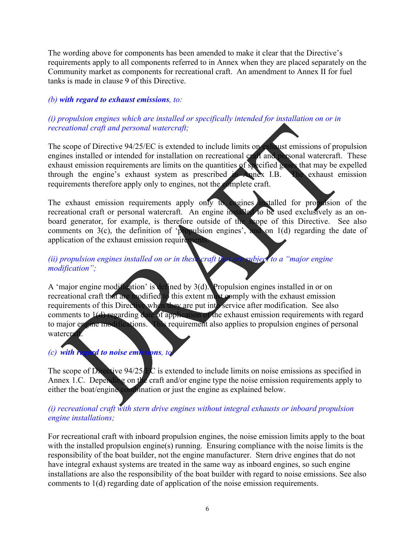The wording above for components has been amended to make it clear that the Directive's requirements apply to all components referred to in Annex when they are placed separately on the Community market as components for recreational craft. An amendment to Annex II for fuel tanks is made in clause 9 of this Directive.

# *(b) with regard to exhaust emissions, to:*

# *(i) propulsion engines which are installed or specifically intended for installation on or in recreational craft and personal watercraft;*

The scope of Directive 94/25/EC is extended to include limits on exhaust emissions of propulsion engines installed or intended for installation on recreational craft and personal watercraft. These exhaust emission requirements are limits on the quantities of specified gases that may be expelled through the engine's exhaust system as prescribed in Annex I.B. The exhaust emission requirements therefore apply only to engines, not the complete craft.

The exhaust emission requirements apply only to engines installed for propulsion of the recreational craft or personal watercraft. An engine installed to be used exclusively as an onboard generator, for example, is therefore outside of the scope of this Directive. See also comments on  $3(c)$ , the definition of 'propulsion engines', and on 1(d) regarding the date of application of the exhaust emission requirements.

# *(ii) propulsion engines installed on or in these craft that are subject to a "major engine" modification";*

A 'major engine modification' is defined by 3(d). Propulsion engines installed in or on recreational craft that are modified to this extent must comply with the exhaust emission requirements of this Directive when they are put into service after modification. See also comments to 1(d) regarding date of application of the exhaust emission requirements with regard to major engine modifications. This requirement also applies to propulsion engines of personal watercraft.

# *(c) with regard to noise emissions, to:*  $\frac{1}{2}$  *to*  $\frac{1}{2}$  *to*  $\frac{1}{2}$  *to*  $\frac{1}{2}$  *to*  $\frac{1}{2}$  *to*  $\frac{1}{2}$  *to*  $\frac{1}{2}$  *to*  $\frac{1}{2}$  *to*  $\frac{1}{2}$  *to*  $\frac{1}{2}$  *to*  $\frac{1}{2}$  *to*  $\frac{1}{2}$  *to*  $\frac{1}{2}$  *to*  $\frac{1}{2}$

The scope of Directive  $94/25/EC$  is extended to include limits on noise emissions as specified in Annex 1.C. Depending on the craft and/or engine type the noise emission requirements apply to either the boat/engine combination or just the engine as explained below.

# *(i) recreational craft with stern drive engines without integral exhausts or inboard propulsion engine installations;*

For recreational craft with inboard propulsion engines, the noise emission limits apply to the boat with the installed propulsion engine(s) running. Ensuring compliance with the noise limits is the responsibility of the boat builder, not the engine manufacturer. Stern drive engines that do not have integral exhaust systems are treated in the same way as inboard engines, so such engine installations are also the responsibility of the boat builder with regard to noise emissions. See also comments to 1(d) regarding date of application of the noise emission requirements.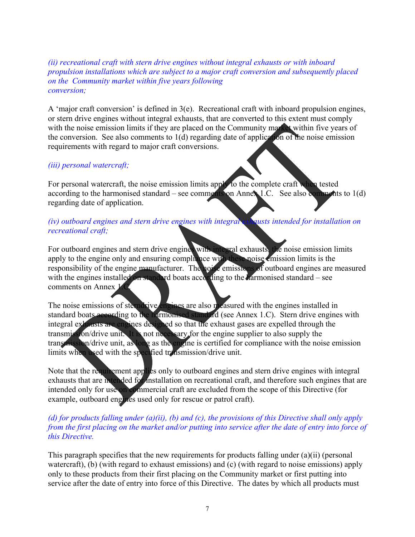#### *(ii) recreational craft with stern drive engines without integral exhausts or with inboard propulsion installations which are subject to a major craft conversion and subsequently placed on the Community market within five years following conversion;*

A 'major craft conversion' is defined in  $3(e)$ . Recreational craft with inboard propulsion engines, or stern drive engines without integral exhausts, that are converted to this extent must comply with the noise emission limits if they are placed on the Community market within five years of the conversion. See also comments to  $1(d)$  regarding date of application of the noise emission requirements with regard to major craft conversions.

## *(iii) personal watercraft;*

For personal watercraft, the noise emission limits apply to the complete craft when tested according to the harmonised standard – see comments on Annex 1.C. See also comments to 1(d) regarding date of application.

#### *(iv) outboard engines and stern drive engines with integral exhausts intended for installation on recreational craft;*

For outboard engines and stern drive engines with integral exhausts, the noise emission limits apply to the engine only and ensuring compliance with these noise emission limits is the responsibility of the engine manufacturer. The noise emissions of outboard engines are measured with the engines installed on standard boats according to the harmonised standard – see comments on Annex 1.C.

The noise emissions of sterndrive engines are also measured with the engines installed in standard boats according to the harmomised standard (see Annex 1.C). Stern drive engines with integral exhausts are engines designed so that the exhaust gases are expelled through the transmission/drive unit. It is not necessary for the engine supplier to also supply the transmission/drive unit, as long as the engine is certified for compliance with the noise emission limits when used with the specified transmission/drive unit.

Note that the requirement applies only to outboard engines and stern drive engines with integral exhausts that are intended for installation on recreational craft, and therefore such engines that are intended only for use on commercial craft are excluded from the scope of this Directive (for example, outboard engines used only for rescue or patrol craft).

#### *(d) for products falling under (a)(ii), (b) and (c), the provisions of this Directive shall only apply from the first placing on the market and/or putting into service after the date of entry into force of this Directive.*

This paragraph specifies that the new requirements for products falling under (a)(ii) (personal watercraft), (b) (with regard to exhaust emissions) and (c) (with regard to noise emissions) apply only to these products from their first placing on the Community market or first putting into service after the date of entry into force of this Directive. The dates by which all products must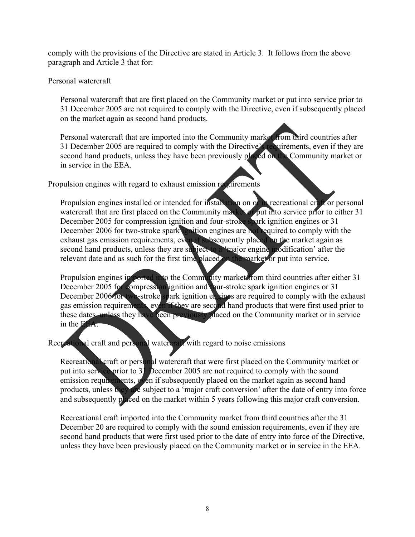comply with the provisions of the Directive are stated in Article 3. It follows from the above paragraph and Article 3 that for:

#### Personal watercraft

Personal watercraft that are first placed on the Community market or put into service prior to 31 December 2005 are not required to comply with the Directive, even if subsequently placed on the market again as second hand products.

Personal watercraft that are imported into the Community market from third countries after 31 December 2005 are required to comply with the Directive's requirements, even if they are second hand products, unless they have been previously placed on the Community market or in service in the EEA.

Propulsion engines with regard to exhaust emission requirements

Propulsion engines installed or intended for installation on or in recreational craft or personal watercraft that are first placed on the Community market or put into service prior to either 31 December 2005 for compression ignition and four-stroke spark ignition engines or 31 December 2006 for two-stroke spark ignition engines are not required to comply with the exhaust gas emission requirements, even if subsequently placed on the market again as second hand products, unless they are subject to a 'major engine modification' after the relevant date and as such for the first time placed on the market or put into service.

Propulsion engines imported into the Community market from third countries after either 31 December 2005 for compression ignition and four-stroke spark ignition engines or 31 December 2006 for two-stroke spark ignition engines are required to comply with the exhaust gas emission requirements, even if they are second hand products that were first used prior to these dates, unless they have been previously placed on the Community market or in service in the EEA.

Recreational craft and personal watercraft with regard to noise emissions

Recreational craft or personal watercraft that were first placed on the Community market or put into service prior to 31 December 2005 are not required to comply with the sound emission requirements, even if subsequently placed on the market again as second hand products, unless they are subject to a 'major craft conversion' after the date of entry into force and subsequently placed on the market within 5 years following this major craft conversion.

Recreational craft imported into the Community market from third countries after the 31 December 20 are required to comply with the sound emission requirements, even if they are second hand products that were first used prior to the date of entry into force of the Directive, unless they have been previously placed on the Community market or in service in the EEA.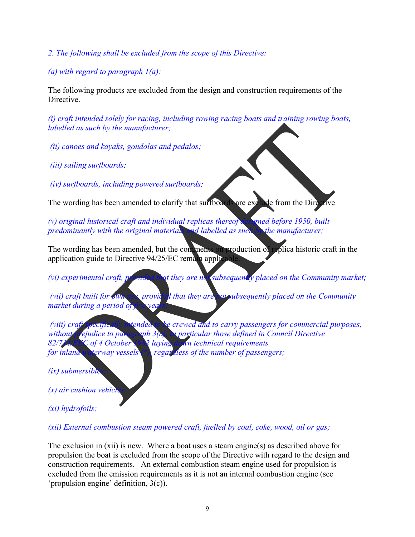- *2. The following shall be excluded from the scope of this Directive:*
- *(a) with regard to paragraph 1(a):*

The following products are excluded from the design and construction requirements of the Directive.

*(i) craft intended solely for racing, including rowing racing boats and training rowing boats, labelled as such by the manufacturer;* 

- *(ii) canoes and kayaks, gondolas and pedalos;*
- *(iii) sailing surfboards;*

 *(iv) surfboards, including powered surfboards;* 

The wording has been amended to clarify that surfboards are exclude from the Dire

*(v) original historical craft and individual replicas thereof designed before 1950, built predominantly with the original materials and labelled as such by the manufacturer;* 

The wording has been amended, but the comments on production of replica historic craft in the application guide to Directive  $94/25/EC$  remain applic

*(vi) experimental craft, provided that they are no subsequently placed on the Community market;* 

 *(vii) craft built for own use, provided that they are not subsequently placed on the Community market during a period of* 

*(viii) craft specifically intended to be crewed and to carry passengers for commercial purposes, without prejudice to paragraph 3(a), in particular those defined in Council Directive 82/714/EEC of 4 October 1982 laying down technical requirements for inland waterway vessels* (\*), *regar dess of the number of passengers;* 

*(ix)* submersible

*(x)* air cushion vehici

*(xi) hydrofoils;* 

*(xii) External combustion steam powered craft, fuelled by coal, coke, wood, oil or gas;* 

The exclusion in (xii) is new. Where a boat uses a steam engine(s) as described above for propulsion the boat is excluded from the scope of the Directive with regard to the design and construction requirements. An external combustion steam engine used for propulsion is excluded from the emission requirements as it is not an internal combustion engine (see 'propulsion engine' definition, 3(c)).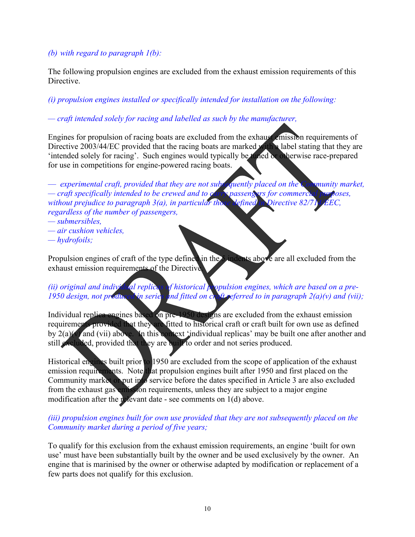## *(b) with regard to paragraph 1(b):*

The following propulsion engines are excluded from the exhaust emission requirements of this **Directive** 

# *(i) propulsion engines installed or specifically intended for installation on the following:*

# *— craft intended solely for racing and labelled as such by the manufacturer,*

Engines for propulsion of racing boats are excluded from the exhaust emission requirements of Directive 2003/44/EC provided that the racing boats are marked with a label stating that they are 'intended solely for racing'. Such engines would typically be tuned or otherwise race-prepared for use in competitions for engine-powered racing boats.

— *experimental craft, provided that they are not subsequently placed on the Community market, — craft specifically intended to be crewed and to carry passengers for commercial purposes, without prejudice to paragraph 3(a), in particular those defined in Directive 82/ regardless of the number of passengers,* 

- *submersibles,*
- *air cushion vehicles,*
- *hydrofoils;*

Propulsion engines of craft of the type defined in the 5 indents above are all excluded from the exhaust emission requirements of the Directive.

# (*ii*) original and individual replicas of historical propulsion engines, which are based on a pre-*1950 design, not produced in series and fitted on craft referred to in paragraph 2(a)(v) and (vii);*

Individual replica engines based on pre-1950 designs are excluded from the exhaust emission requirements provided that they are fitted to historical craft or craft built for own use as defined by 2(a)(v) and (vii) above. In this context 'individual replicas' may be built one after another and still excluded, provided that they are built to order and not series produced.

Historical engines built prior to 1950 are excluded from the scope of application of the exhaust emission requirements. Note that propulsion engines built after 1950 and first placed on the Community market of put into service before the dates specified in Article 3 are also excluded from the exhaust gas emission requirements, unless they are subject to a major engine modification after the relevant date - see comments on  $1(d)$  above.

## *(iii) propulsion engines built for own use provided that they are not subsequently placed on the Community market during a period of five years;*

To qualify for this exclusion from the exhaust emission requirements, an engine 'built for own use' must have been substantially built by the owner and be used exclusively by the owner. An engine that is marinised by the owner or otherwise adapted by modification or replacement of a few parts does not qualify for this exclusion.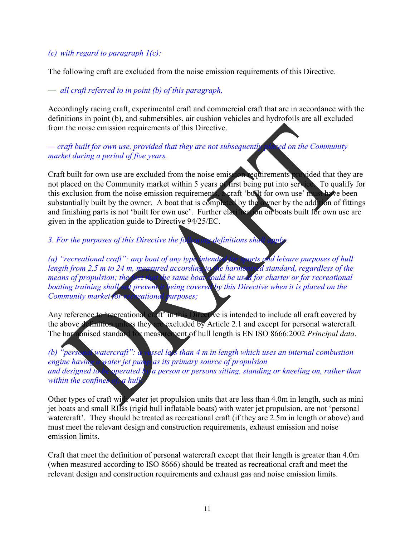### *(c) with regard to paragraph 1(c):*

The following craft are excluded from the noise emission requirements of this Directive.

— *all craft referred to in point (b) of this paragraph,* 

Accordingly racing craft, experimental craft and commercial craft that are in accordance with the definitions in point (b), and submersibles, air cushion vehicles and hydrofoils are all excluded from the noise emission requirements of this Directive.

*— craft built for own use, provided that they are not subsequently placed on the Community market during a period of five years.* 

Craft built for own use are excluded from the noise emission requirements provided that they are not placed on the Community market within 5 years of first being put into service. To qualify for this exclusion from the noise emission requirements, a craft 'built for own use' must have been substantially built by the owner. A boat that is completed by the owner by the addition of fittings and finishing parts is not 'built for own use'. Further clarification on boats built for own use are given in the application guide to Directive 94/25/EC.

*3. For the purposes of this Directive the following definitions shall* 

*(a) "recreational craft": any boat of any type intended for sports and leisure purposes of hull length from 2,5 m to 24 m, measured according to the harmonised standard, regardless of the means of propulsion; the fact that the same boat could be used for charter or for recreational boating training shall not prevent it being covered by this Directive when it is placed on the Community market for recreational purposes;* 

Any reference to 'recreational craft' in this Directive is intended to include all craft covered by the above definition unless they are excluded by Article 2.1 and except for personal watercraft. The harmonised standard for measurement of hull length is EN ISO 8666:2002 *Principal data*.

*(b)* "personal watercraft": a vessel less than 4 m in length which uses an internal combustion *engine having a water jet pump as its primary source of propulsion and designed to be operated by a person or persons sitting, standing or kneeling on, rather than within the confines of, a hull* 

Other types of craft with water jet propulsion units that are less than 4.0m in length, such as mini jet boats and small RIBs (rigid hull inflatable boats) with water jet propulsion, are not 'personal watercraft'. They should be treated as recreational craft (if they are 2.5m in length or above) and must meet the relevant design and construction requirements, exhaust emission and noise emission limits.

Craft that meet the definition of personal watercraft except that their length is greater than 4.0m (when measured according to ISO 8666) should be treated as recreational craft and meet the relevant design and construction requirements and exhaust gas and noise emission limits.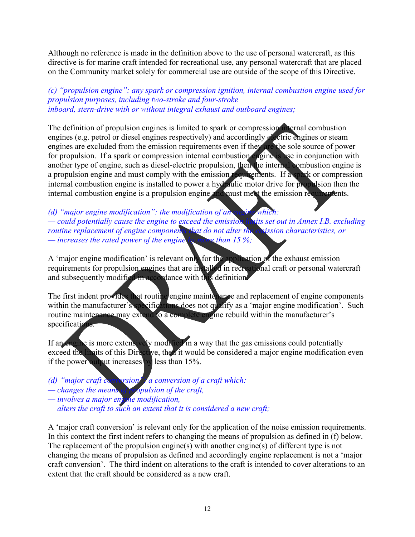Although no reference is made in the definition above to the use of personal watercraft, as this directive is for marine craft intended for recreational use, any personal watercraft that are placed on the Community market solely for commercial use are outside of the scope of this Directive.

#### *(c) "propulsion engine": any spark or compression ignition, internal combustion engine used for propulsion purposes, including two-stroke and four-stroke inboard, stern-drive with or without integral exhaust and outboard engines;*

The definition of propulsion engines is limited to spark or compression internal combustion engines (e.g. petrol or diesel engines respectively) and accordingly electric engines or steam engines are excluded from the emission requirements even if they are the sole source of power for propulsion. If a spark or compression internal combustion engine is use in conjunction with another type of engine, such as diesel-electric propulsion, then the internal combustion engine is a propulsion engine and must comply with the emission requirements. If a spark or compression internal combustion engine is installed to power a hydraulic motor drive for propulsion then the internal combustion engine is a propulsion engine and must meet the emission requirements.

*(d) "major engine modification": the modification of an engine which: — could potentially cause the engine to exceed the emission limits set out in Annex I.B. excluding routine replacement of engine components that do not alter the emission characteristics, or — increases the rated power of the engine by more than 15 %;* 

A 'major engine modification' is relevant only for the application of the exhaust emission requirements for propulsion engines that are installed in recreational craft or personal watercraft and subsequently modified in accordance with this definition.

The first indent provides that routine engine maintenance and replacement of engine components within the manufacturer's specifications does not qualify as a 'major engine modification'. Such routine maintenance may extend to a complete engine rebuild within the manufacturer's specifications.

If an engine is more extensively modified in a way that the gas emissions could potentially exceed the limits of this Directive, then it would be considered a major engine modification even if the power output increases by less than 15%.

- *(d) "major craft conversion": a conversion of a craft which:*
- *changes the means of propulsion of the craft,*
- *involves a major engine modification,*
- *alters the craft to such an extent that it is considered a new craft;*

A 'major craft conversion' is relevant only for the application of the noise emission requirements. In this context the first indent refers to changing the means of propulsion as defined in (f) below. The replacement of the propulsion engine(s) with another engine(s) of different type is not changing the means of propulsion as defined and accordingly engine replacement is not a 'major craft conversion'. The third indent on alterations to the craft is intended to cover alterations to an extent that the craft should be considered as a new craft.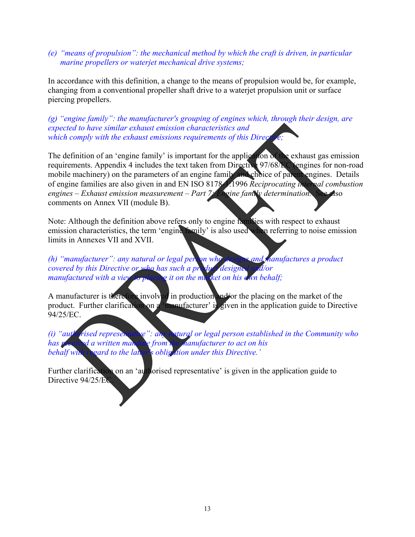#### *(e) "means of propulsion": the mechanical method by which the craft is driven, in particular marine propellers or waterjet mechanical drive systems;*

In accordance with this definition, a change to the means of propulsion would be, for example, changing from a conventional propeller shaft drive to a waterjet propulsion unit or surface piercing propellers.

*(g) "engine family": the manufacturer's grouping of engines which, through their design, are expected to have similar exhaust emission characteristics and which comply with the exhaust emissions requirements of this Directive; verify* 

The definition of an 'engine family' is important for the application of the exhaust gas emission requirements. Appendix 4 includes the text taken from Directive 97/68/EC (engines for non-road mobile machinery) on the parameters of an engine family and choice of parent engines. Details of engine families are also given in and EN ISO 8178-1:1996 *Reciprocating internal combustion*  engines – Exhaust emission measurement – Part 7: Engine family determination. See also comments on Annex VII (module B).

Note: Although the definition above refers only to engine families with respect to exhaust emission characteristics, the term 'engine family' is also used when referring to noise emission limits in Annexes VII and XVII.

*(h) "manufacturer": any natural or legal person who designs and manufactures a product covered by this Directive or who has such a product designed and/or manufactured with a view to placing it on the market on his dayn behalf;* 

A manufacturer is therefore involved in production and/or the placing on the market of the product. Further clarification on a 'manufacturer' is given in the application guide to Directive 94/25/EC.

*(i)* "authorised representative": any natural or legal person established in the Community who has received a written mandale from the manufacturer to act on his *has received a written mandate from the manufacturer to act on his*  behalf with regard to the latter's obligation under this Directive.'

Further clarification on an 'authorised representative' is given in the application guide to Directive 94/25/EC.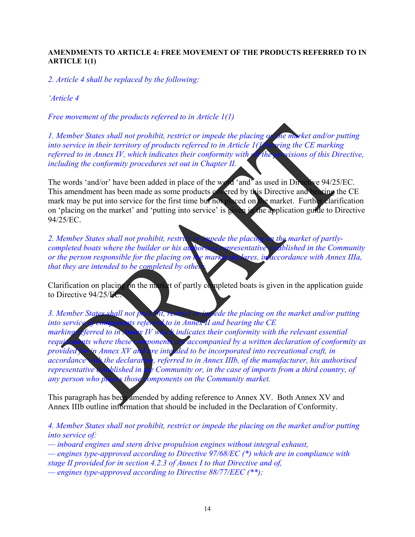#### **AMENDMENTS TO ARTICLE 4: FREE MOVEMENT OF THE PRODUCTS REFERRED TO IN ARTICLE 1(1)**

*2. Article 4 shall be replaced by the following:* 

*'Article 4*

*Free movement of the products referred to in Article 1(1)* 

*1. Member States shall not prohibit, restrict or impede the placing on the market and/or putting into service in their territory of products referred to in Article 1(1)bearing the CE marking referred to in Annex IV, which indicates their conformity with all the provisions of this Directive, including the conformity procedures set out in Chapter II.* 

The words 'and/or' have been added in place of the word 'and' as used in Directive 94/25/EC. This amendment has been made as some products covered by this Directive and bearing the CE mark may be put into service for the first time but not placed on the market. Further clarification on 'placing on the market' and 'putting into service' is given in the application guide to Directive 94/25/EC.

*2. Member States shall not prohibit, restrict or impede the placing on the market of partlycompleted boats where the builder or his authorised representative established in the Community or the person responsible for the placing on the market declares, in accordance with Annex IIIa, that they are intended to be completed by otherathers.* 

Clarification on placing on the market of partly completed boats is given in the application guide to Directive 94/25/EC.

*3. Member States shall not prohibit, restrict or impede the placing on the market and/or putting into service of components referred to in Annex II and bearing the CE marking referred to in Annex IV which indicates their conformity with the relevant essential requirements where these components are accompanied by a written declaration of conformity as provided for in Annex XV and are intended to be incorporated into recreational craft, in accordance with the declaration, referred to in Annex IIIb, of the manufacturer, his authorised representative established in the Community or, in the case of imports from a third country, of any person who places those components on the Community market.* 

This paragraph has been amended by adding reference to Annex XV. Both Annex XV and Annex IIIb outline information that should be included in the Declaration of Conformity.

*4. Member States shall not prohibit, restrict or impede the placing on the market and/or putting into service of:* 

*— inboard engines and stern drive propulsion engines without integral exhaust,* 

*— engines type-approved according to Directive 97/68/EC (\*) which are in compliance with stage II provided for in section 4.2.3 of Annex I to that Directive and of,* 

*— engines type-approved according to Directive 88/77/EEC (\*\*);*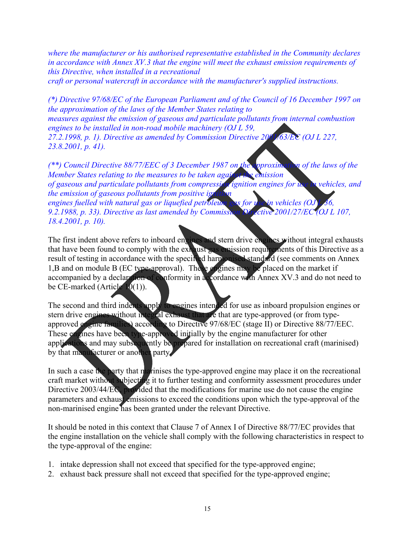*where the manufacturer or his authorised representative established in the Community declares in accordance with Annex XV.3 that the engine will meet the exhaust emission requirements of this Directive, when installed in a recreational* 

*craft or personal watercraft in accordance with the manufacturer's supplied instructions.* 

*(\*) Directive 97/68/EC of the European Parliament and of the Council of 16 December 1997 on the approximation of the laws of the Member States relating to measures against the emission of gaseous and particulate pollutants from internal combustion engines to be installed in non-road mobile machinery (OJ L 59, 27.2.1998, p. 1). Directive as amended by Commission Directive 2001/63/EC (OJ L 227, 23.8.2001, p. 41).* 

*(\*\*) Council Directive 88/77/EEC of 3 December 1987 on the approximation of the laws of the Member States relating to the measures to be taken against the emission*  of gaseous and particulate pollutants from compression ignition engines for use in vehicles, and *the emission of gaseous pollutants from positive ignity engines fuelled with natural gas or liquefied petroleum gas for use in vehicles (OJ) 9.2.1988, p. 33). Directive as last amended by Commission Directive 2001/27/EC (OJ L 107, 18.4.2001, p. 10).* 

The first indent above refers to inboard engines and stern drive engines without integral exhausts that have been found to comply with the exhaust gas emission requirements of this Directive as a result of testing in accordance with the specified harmonised standard (see comments on Annex 1,B and on module B (EC type-approval). These engines may be placed on the market if accompanied by a declaration of conformity in accordance with Annex XV.3 and do not need to be CE-marked (Article  $10(1)$ ).

The second and third indents apply to engines intended for use as inboard propulsion engines or stern drive engines without integral exhaust that are that are type-approved (or from typeapproved engine families) according to Directive 97/68/EC (stage II) or Directive 88/77/EEC. These engines have been type-approved initially by the engine manufacturer for other applications and may subsequently be prepared for installation on recreational craft (marinised) by that manufacturer or another party.

In such a case the party that marinises the type-approved engine may place it on the recreational craft market without subjecting it to further testing and conformity assessment procedures under Directive 2003/44/EC, provided that the modifications for marine use do not cause the engine parameters and exhaust emissions to exceed the conditions upon which the type-approval of the non-marinised engine has been granted under the relevant Directive.

It should be noted in this context that Clause 7 of Annex I of Directive 88/77/EC provides that the engine installation on the vehicle shall comply with the following characteristics in respect to the type-approval of the engine:

- 1. intake depression shall not exceed that specified for the type-approved engine;
- 2. exhaust back pressure shall not exceed that specified for the type-approved engine;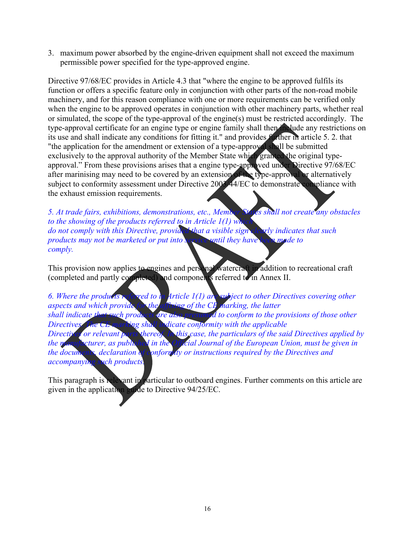3. maximum power absorbed by the engine-driven equipment shall not exceed the maximum permissible power specified for the type-approved engine.

Directive 97/68/EC provides in Article 4.3 that "where the engine to be approved fulfils its function or offers a specific feature only in conjunction with other parts of the non-road mobile machinery, and for this reason compliance with one or more requirements can be verified only when the engine to be approved operates in conjunction with other machinery parts, whether real or simulated, the scope of the type-approval of the engine(s) must be restricted accordingly. The type-approval certificate for an engine type or engine family shall then include any restrictions on its use and shall indicate any conditions for fitting it." and provides further in article 5. 2. that "the application for the amendment or extension of a type-approval shall be submitted exclusively to the approval authority of the Member State which granted the original typeapproval." From these provisions arises that a engine type-approved under Directive 97/68/EC after marinising may need to be covered by an extension of the type-approval or alternatively subject to conformity assessment under Directive 2003/44/EC to demonstrate compliance with the exhaust emission requirements.

*5. At trade fairs, exhibitions, demonstrations, etc., Member States shall not create any obstacles to the showing of the products referred to in Article 1(1) which the showing of the products referred to in Article 1(1) which the showing of the products referred to in Article 1(1) which to the showing of the products do not comply with this Directive, provided that a visible sign clearly indicates that such products may not be marketed or put into service until they have been made to comply.* 

This provision now applies to engines and personal watercraft in addition to recreational craft (completed and partly completed) and components referred to in Annex II.

*6. Where the products referred to in Article 1(1) are subject to other Directives covering other aspects and which provide for the affixing of the CH marking, the latter aspects and which provide for the affixing of the CE* shall indicate that such products are also presumed *shall indicate that such products are also presumed to conform to the provisions of those other Directives. The CE marking shall indicate conformity with the applicable Directives or relevant parts thereof. In this case, the particulars of the said Directives applied by the manufacturer, as published in the Official Journal of the European Union, must be given in the documents, declaration of conformaty or instructions required by the Directives and accompanying such products.* 

This paragraph is relevant in particular to outboard engines. Further comments on this article are given in the application guide to Directive 94/25/EC.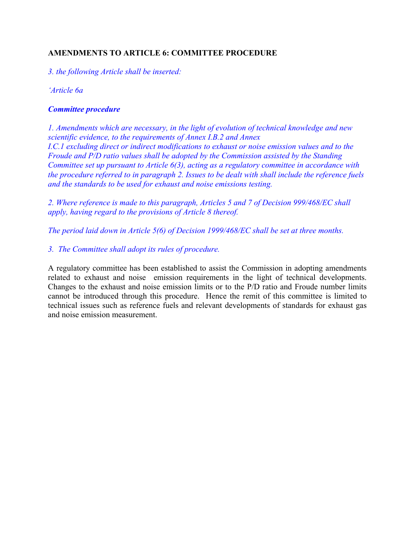# **AMENDMENTS TO ARTICLE 6: COMMITTEE PROCEDURE**

*3. the following Article shall be inserted:* 

*'Article 6a* 

#### *Committee procedure*

*1. Amendments which are necessary, in the light of evolution of technical knowledge and new scientific evidence, to the requirements of Annex I.B.2 and Annex I.C.1 excluding direct or indirect modifications to exhaust or noise emission values and to the Froude and P/D ratio values shall be adopted by the Commission assisted by the Standing Committee set up pursuant to Article 6(3), acting as a regulatory committee in accordance with the procedure referred to in paragraph 2. Issues to be dealt with shall include the reference fuels and the standards to be used for exhaust and noise emissions testing.* 

*2. Where reference is made to this paragraph, Articles 5 and 7 of Decision 999/468/EC shall apply, having regard to the provisions of Article 8 thereof.* 

*The period laid down in Article 5(6) of Decision 1999/468/EC shall be set at three months.* 

*3. The Committee shall adopt its rules of procedure.* 

A regulatory committee has been established to assist the Commission in adopting amendments related to exhaust and noise emission requirements in the light of technical developments. Changes to the exhaust and noise emission limits or to the P/D ratio and Froude number limits cannot be introduced through this procedure. Hence the remit of this committee is limited to technical issues such as reference fuels and relevant developments of standards for exhaust gas and noise emission measurement.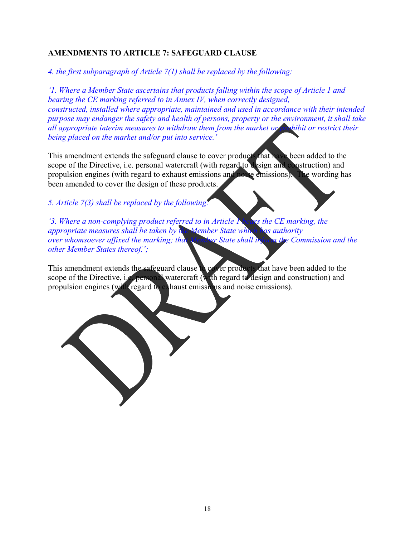# **AMENDMENTS TO ARTICLE 7: SAFEGUARD CLAUSE**

*4. the first subparagraph of Article 7(1) shall be replaced by the following:* 

*'1. Where a Member State ascertains that products falling within the scope of Article 1 and bearing the CE marking referred to in Annex IV, when correctly designed, constructed, installed where appropriate, maintained and used in accordance with their intended purpose may endanger the safety and health of persons, property or the environment, it shall take all appropriate interim measures to withdraw them from the market or prohibit or restrict their being placed on the market and/or put into service.'* 

This amendment extends the safeguard clause to cover products that have been added to the scope of the Directive, i.e. personal watercraft (with regard to design and construction) and propulsion engines (with regard to exhaust emissions and noise emissions). The wording has been amended to cover the design of these products.

*5. Article 7(3) shall be replaced by the following:* 

*'3. Where a non-complying product referred to in Article Nears the CE marking, the appropriate measures shall be taken by the Member State which has authority over whomsoever affixed the marking; that Member State shall inform the Commission and the other Member States thereof.';* 

This amendment extends the safeguard clause to cover products that have been added to the scope of the Directive, i.e. personal watercraft (with regard to design and construction) and propulsion engines (with regard to exhaust emissions and noise emissions).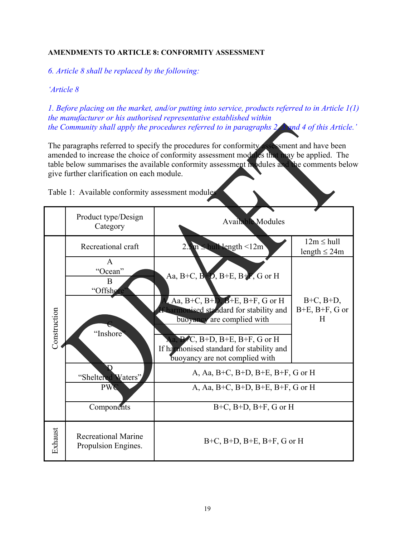### **AMENDMENTS TO ARTICLE 8: CONFORMITY ASSESSMENT**

*6. Article 8 shall be replaced by the following:* 

#### *'Article 8*

*1. Before placing on the market, and/or putting into service, products referred to in Article 1(1) the manufacturer or his authorised representative established within the Community shall apply the procedures referred to in paragraphs 2, 3 and 4 of this Article.'* 

The paragraphs referred to specify the procedures for conformity assessment and have been amended to increase the choice of conformity assessment modules that may be applied. The table below summarises the available conformity assessment modules and the comments below give further clarification on each module.

|              | Product type/Design<br>Category                        | <b>Available Modules</b>                                                                                                                                                                                                                                                                                          |                                                |  |  |
|--------------|--------------------------------------------------------|-------------------------------------------------------------------------------------------------------------------------------------------------------------------------------------------------------------------------------------------------------------------------------------------------------------------|------------------------------------------------|--|--|
| Construction | Recreational craft                                     | $2.5m \leq \text{hul Nength} < 12m$                                                                                                                                                                                                                                                                               | $12m \leq hull$<br>length $\leq$ 24m           |  |  |
|              | $\mathsf{A}$<br>"Ocean"<br>B<br>"Offshore<br>"Inshore" | Aa, B+C, B+D, B+E, B+F, G or H<br>Aa, B+C, B+D, $B$ +E, B+F, G or H<br>If harmonised standard for stability and<br>buoyancy are complied with<br>Aa, B <sup>2</sup> C, B <sup>+</sup> D, B <sup>+</sup> E, B <sup>+</sup> F, G or H<br>If harmonised standard for stability and<br>buoyancy are not complied with | $B+C$ , $B+D$ ,<br>$B+E$ , $B+F$ , $G$ or<br>H |  |  |
|              | "Sheltered Waters"                                     | A, Aa, B+C, B+D, B+E, B+F, G or H                                                                                                                                                                                                                                                                                 |                                                |  |  |
|              | <b>PWC</b>                                             | A, Aa, B+C, B+D, B+E, B+F, G or H                                                                                                                                                                                                                                                                                 |                                                |  |  |
|              | Components                                             | $B+C$ , $B+D$ , $B+F$ , G or H                                                                                                                                                                                                                                                                                    |                                                |  |  |
| Exhaust      | <b>Recreational Marine</b><br>Propulsion Engines.      | $B+C$ , $B+D$ , $B+E$ , $B+F$ , $G$ or $H$                                                                                                                                                                                                                                                                        |                                                |  |  |

Table 1: Available conformity assessment modules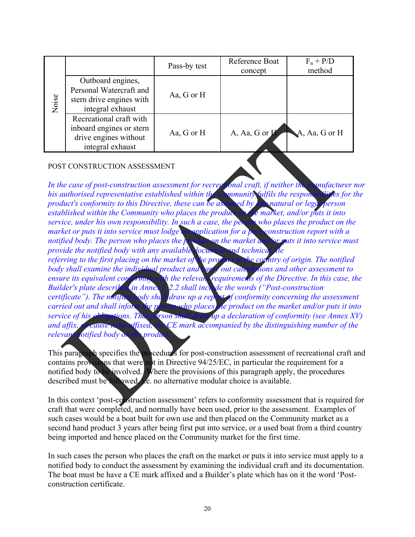| Noise |                                                                                                  | Pass-by test | Reference Boat<br>concept | $F_n + P/D$<br>method     |
|-------|--------------------------------------------------------------------------------------------------|--------------|---------------------------|---------------------------|
|       | Outboard engines,<br>Personal Watercraft and<br>stern drive engines with<br>integral exhaust     | Aa, G or H   |                           |                           |
|       | Recreational craft with<br>inboard engines or stern<br>drive engines without<br>integral exhaust | Aa, G or H   | A, Aa, G or $H$           | $\mathbf{A}$ , Aa, G or H |

#### POST CONSTRUCTION ASSESSMENT

In the case of post-construction assessment for recreational craft, if neither the manufacturer nor his authorised representative established within the Community fulfils the responsibilities for the *product's conformity to this Directive, these can be assumed by any natural or legal person established within the Community who places the product on the market, and/or puts it into service, under his own responsibility. In such a case, the person who places the product on the market or puts it into service must lodge* an application for a post-construction report with a *notified body. The person who places the product on the market and/or puts it into service must provide the notified body with any available document and technical referring to the first placing on the market of the product in the country of origin. The notified body shall examine the individual product and carry out calculations and other assessment to ensure its equivalent conformity with the relevant requirements of the Directive. In this case, the Builder's plate described in Annex I, 2.2 shall include the words ("Post-construction certificate"). The notified body shall draw up a report of conformity concerning the assessment carried out and shall inform the person who places the product on the market and/or puts it into service of his obligations. That person shall draw up a declaration of conformity (see Annex XV) and affix, or cause to be affixed, the CE mark accompanied by the distinguishing number of the relevant rotified body on the produ* 

This paragraph specifies the procedures for post-construction assessment of recreational craft and contains provisions that were not in Directive 94/25/EC, in particular the requirement for a notified body to be involved. Where the provisions of this paragraph apply, the procedures described must be followed, i.e. no alternative modular choice is available.

In this context 'post-construction assessment' refers to conformity assessment that is required for craft that were completed, and normally have been used, prior to the assessment. Examples of such cases would be a boat built for own use and then placed on the Community market as a second hand product 3 years after being first put into service, or a used boat from a third country being imported and hence placed on the Community market for the first time.

In such cases the person who places the craft on the market or puts it into service must apply to a notified body to conduct the assessment by examining the individual craft and its documentation. The boat must be have a CE mark affixed and a Builder's plate which has on it the word 'Postconstruction certificate.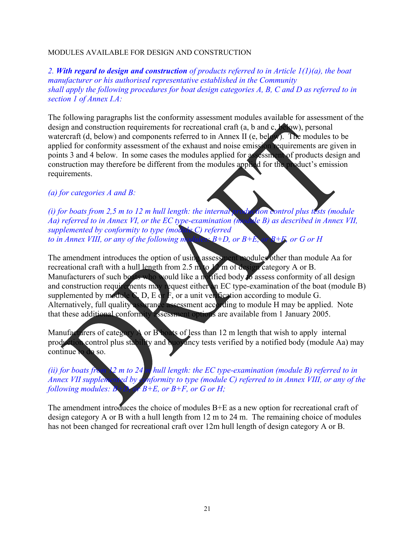#### MODULES AVAILABLE FOR DESIGN AND CONSTRUCTION

*2. With regard to design and construction of products referred to in Article 1(1)(a), the boat manufacturer or his authorised representative established in the Community shall apply the following procedures for boat design categories A, B, C and D as referred to in section 1 of Annex I.A:* 

The following paragraphs list the conformity assessment modules available for assessment of the design and construction requirements for recreational craft (a, b and c, below), personal watercraft (d, below) and components referred to in Annex II (e, below). The modules to be applied for conformity assessment of the exhaust and noise emission requirements are given in points 3 and 4 below. In some cases the modules applied for assessment of products design and construction may therefore be different from the modules applied for the product's emission requirements.

#### *(a) for categories A and B:*

 $(i)$  for boats from 2,5 m to 12 m hull length: the internal production control plus tests (module *Aa) referred to in Annex VI, or the EC type-examination (module B) as described in Annex VII, supplemented by conformity to type (module C) referred to in Annex VIII, or any of the following modules:*  $B+D$ *, or*  $B+E$ *, or*  $B+E$ *, or G or H* 

The amendment introduces the option of using assessment modules other than module Aa for recreational craft with a hull length from 2.5 m to  $12$  m of design category A or B. Manufacturers of such boats who would like a notified body to assess conformity of all design and construction requirements may request either an EC type-examination of the boat (module B) supplemented by module  $\sum_{n=1}^{\infty} D_n E \, dr \, F_n$ , or a unit verification according to module G. Alternatively, full quality assurance assessment according to module H may be applied. Note that these additional conformity assessment options are available from 1 January 2005.

Manufacturers of category A or B boats of less than 12 m length that wish to apply internal production control plus stability and buoyancy tests verified by a notified body (module Aa) may continue to do so.

*(ii) for boats from 12 m to 24 m hull length: the EC type-examination (module B) referred to in Annex VII supplemented by conformity to type (module C) referred to in Annex VIII, or any of the following modules: B+D, or B+E, or B+F, or G or H;* 

The amendment introduces the choice of modules B+E as a new option for recreational craft of design category A or B with a hull length from 12 m to 24 m. The remaining choice of modules has not been changed for recreational craft over 12m hull length of design category A or B.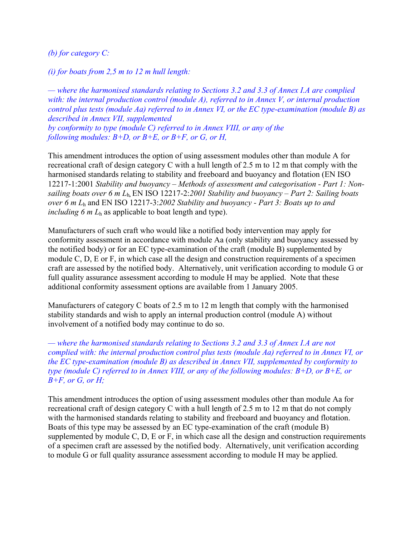*(b) for category C:*

*(i) for boats from 2,5 m to 12 m hull length:* 

*— where the harmonised standards relating to Sections 3.2 and 3.3 of Annex I.A are complied with: the internal production control (module A), referred to in Annex V, or internal production control plus tests (module Aa) referred to in Annex VI, or the EC type-examination (module B) as described in Annex VII, supplemented by conformity to type (module C) referred to in Annex VIII, or any of the following modules:*  $B+D$ *, or*  $B+E$ *, or*  $B+F$ *, or G, or H,* 

This amendment introduces the option of using assessment modules other than module A for recreational craft of design category C with a hull length of 2.5 m to 12 m that comply with the harmonised standards relating to stability and freeboard and buoyancy and flotation (EN ISO 12217-1:2001 *Stability and buoyancy – Methods of assessment and categorisation - Part 1: Nonsailing boats over 6 m L*h*,* EN ISO 12217-2:*2001 Stability and buoyancy – Part 2: Sailing boats over 6 m L*<sup>h</sup> and EN ISO 12217-3:*2002 Stability and buoyancy - Part 3: Boats up to and including 6 m L*<sup>h</sup> as applicable to boat length and type).

Manufacturers of such craft who would like a notified body intervention may apply for conformity assessment in accordance with module Aa (only stability and buoyancy assessed by the notified body) or for an EC type-examination of the craft (module B) supplemented by module C, D, E or F, in which case all the design and construction requirements of a specimen craft are assessed by the notified body. Alternatively, unit verification according to module G or full quality assurance assessment according to module H may be applied. Note that these additional conformity assessment options are available from 1 January 2005.

Manufacturers of category C boats of 2.5 m to 12 m length that comply with the harmonised stability standards and wish to apply an internal production control (module A) without involvement of a notified body may continue to do so.

*— where the harmonised standards relating to Sections 3.2 and 3.3 of Annex I.A are not complied with: the internal production control plus tests (module Aa) referred to in Annex VI, or the EC type-examination (module B) as described in Annex VII, supplemented by conformity to type (module C) referred to in Annex VIII, or any of the following modules: B+D, or B+E, or B+F, or G, or H;* 

This amendment introduces the option of using assessment modules other than module Aa for recreational craft of design category C with a hull length of 2.5 m to 12 m that do not comply with the harmonised standards relating to stability and freeboard and buoyancy and flotation. Boats of this type may be assessed by an EC type-examination of the craft (module B) supplemented by module C, D, E or F, in which case all the design and construction requirements of a specimen craft are assessed by the notified body. Alternatively, unit verification according to module G or full quality assurance assessment according to module H may be applied.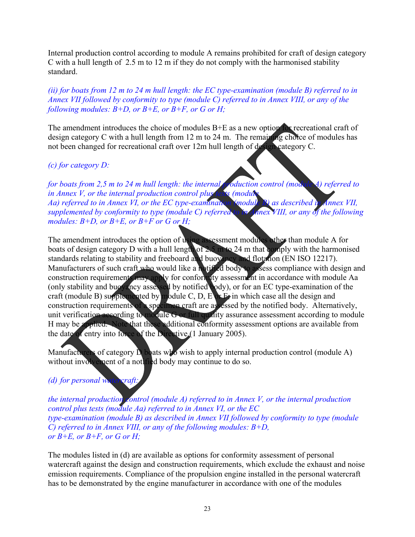Internal production control according to module A remains prohibited for craft of design category C with a hull length of 2.5 m to 12 m if they do not comply with the harmonised stability standard.

*(ii) for boats from 12 m to 24 m hull length: the EC type-examination (module B) referred to in Annex VII followed by conformity to type (module C) referred to in Annex VIII, or any of the following modules:*  $B+D$ *, or*  $B+E$ *, or*  $B+F$ *, or G or H;* 

The amendment introduces the choice of modules B+E as a new option for recreational craft of design category C with a hull length from 12 m to 24 m. The remaining choice of modules has not been changed for recreational craft over 12m hull length of design category C.

# *(c) for category D:*

*for boats from 2,5 m to 24 m hull length: the internal production control (module A) referred to in Annex V, or the internal production control plus tests (module) in Annex V, or the internal production control plus Aa) referred to in Annex VI, or the EC type-examination (module B) as described in Annex VII, supplemented by conformity to type (module C) referred to in Annex VIII, or any of the following modules: B+D, or B+E, or B+F or G or H;* 

The amendment introduces the option of using assessment modules other than module A for boats of design category D with a hull length of  $2.5 \text{ m}$  to 24 m that comply with the harmonised standards relating to stability and freeboard and buoyancy and flotation (EN ISO 12217). Manufacturers of such craft who would like a notified body to assess compliance with design and construction requirements may apply for conformity assessment in accordance with module Aa (only stability and buoyancy assessed by notified body), or for an EC type-examination of the craft (module B) supplemented by module C, D, E  $\alpha$  F, in which case all the design and construction requirements of a specimen craft are assessed by the notified body. Alternatively, unit verification according to module G or full quality assurance assessment according to module H may be applied. Note that these additional conformity assessment options are available from the date of entry into force of the Directive (1 January 2005).

Manufacturers of category  $\dot{D}$  boats who wish to apply internal production control (module A) without involvement of a notified body may continue to do so.

# *(d) for personal watercraft:*

*the internal production control (module A) referred to in Annex V, or the internal production control plus tests (module Aa) referred to in Annex VI, or the EC type-examination (module B) as described in Annex VII followed by conformity to type (module C) referred to in Annex VIII, or any of the following modules: B+D, or B+E, or B+F, or G or H;* 

The modules listed in (d) are available as options for conformity assessment of personal watercraft against the design and construction requirements, which exclude the exhaust and noise emission requirements. Compliance of the propulsion engine installed in the personal watercraft has to be demonstrated by the engine manufacturer in accordance with one of the modules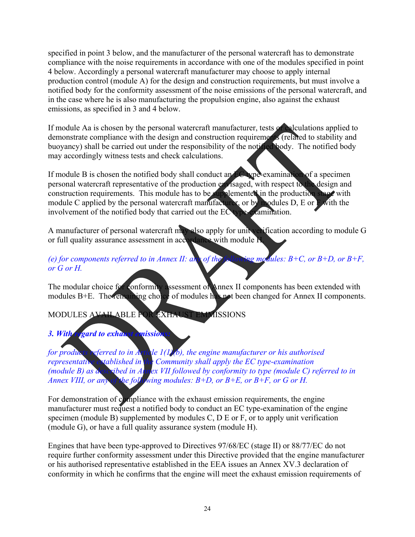specified in point 3 below, and the manufacturer of the personal watercraft has to demonstrate compliance with the noise requirements in accordance with one of the modules specified in point 4 below. Accordingly a personal watercraft manufacturer may choose to apply internal production control (module A) for the design and construction requirements, but must involve a notified body for the conformity assessment of the noise emissions of the personal watercraft, and in the case where he is also manufacturing the propulsion engine, also against the exhaust emissions, as specified in 3 and 4 below.

If module Aa is chosen by the personal watercraft manufacturer, tests or calculations applied to demonstrate compliance with the design and construction requirements (related to stability and buoyancy) shall be carried out under the responsibility of the notified body. The notified body may accordingly witness tests and check calculations.

If module B is chosen the notified body shall conduct an EC type-examination of a specimen personal watercraft representative of the production envisaged, with respect to the design and construction requirements. This module has to be supplemented in the production stage with module C applied by the personal watercraft manufacturer, or by modules  $D$ , E or F with the involvement of the notified body that carried out the EC type-examination.

A manufacturer of personal watercraft may also apply for unit verification according to module G or full quality assurance assessment in accordance with module H.

# *(e) for components referred to in Annex II: any of the following modules:*  $B+C$ *, or*  $B+D$ *, or*  $B+F$ *. or G or H.*

The modular choice for conformity assessment of Annex II components has been extended with modules B+E. The remaining choice of modules has not been changed for Annex II components.

# MODULES AVAILABLE FOR EXHAUST EMMISSIONS

# **3. With regard to exhaust emission**

*for products referred to in Article 1(1)(b), the engine manufacturer or his authorised representative established in the Community shall apply the EC type-examination (module B) as described in Annex VII followed by conformity to type (module C) referred to in Annex VIII, or any of the following modules: B+D, or B+E, or B+F, or G or H.* 

For demonstration of compliance with the exhaust emission requirements, the engine manufacturer must request a notified body to conduct an EC type-examination of the engine specimen (module B) supplemented by modules C, D E or F, or to apply unit verification (module G), or have a full quality assurance system (module H).

Engines that have been type-approved to Directives 97/68/EC (stage II) or 88/77/EC do not require further conformity assessment under this Directive provided that the engine manufacturer or his authorised representative established in the EEA issues an Annex XV.3 declaration of conformity in which he confirms that the engine will meet the exhaust emission requirements of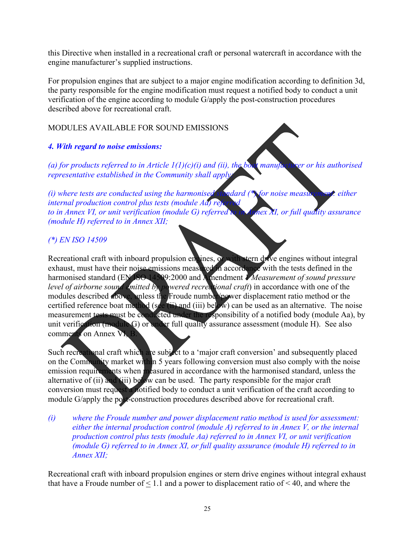this Directive when installed in a recreational craft or personal watercraft in accordance with the engine manufacturer's supplied instructions.

For propulsion engines that are subject to a major engine modification according to definition 3d, the party responsible for the engine modification must request a notified body to conduct a unit verification of the engine according to module G/apply the post-construction procedures described above for recreational craft.

# MODULES AVAILABLE FOR SOUND EMISSIONS

# *4. With regard to noise emissions:*

(a) for products referred to in Article  $I(I)(c)(i)$  and (ii), the boat manufacturer or his authorised *representative established in the Community shall apply:* 

*(i) where tests are conducted using the harmonised standard (\*) for noise measurement: either internal production control plus tests (module Ad) ref to in Annex VI, or unit verification (module G) referred to in Annex XI, or full quality assurance (module H) referred to in Annex XII;* 

# *(\*) EN ISO 14509*

Recreational craft with inboard propulsion engines, or with stern drive engines without integral exhaust, must have their noise emissions measured in accordance with the tests defined in the harmonised standard (EN ISO 14509:2000 and Amendment 1 *Measurement of sound pressure level of airborne sound emitted by powered recreational craft*) in accordance with one of the modules described above, unless the Froude number/power displacement ratio method or the certified reference boat method (see (ii) and (iii) below) can be used as an alternative. The noise measurement tests must be conducted under the responsibility of a notified body (module Aa), by unit verification (module G) or under full quality assurance assessment (module H). See also comments on Annex VI, B.

Such recreational craft which are subject to a 'major craft conversion' and subsequently placed on the Community market within 5 years following conversion must also comply with the noise emission requirements when measured in accordance with the harmonised standard, unless the alternative of (ii) and (iii) below can be used. The party responsible for the major craft conversion must request a notified body to conduct a unit verification of the craft according to module G/apply the post-construction procedures described above for recreational craft.

*(i) where the Froude number and power displacement ratio method is used for assessment: either the internal production control (module A) referred to in Annex V, or the internal production control plus tests (module Aa) referred to in Annex VI, or unit verification (module G) referred to in Annex XI, or full quality assurance (module H) referred to in Annex XII;* 

Recreational craft with inboard propulsion engines or stern drive engines without integral exhaust that have a Froude number of  $\leq 1.1$  and a power to displacement ratio of  $\leq 40$ , and where the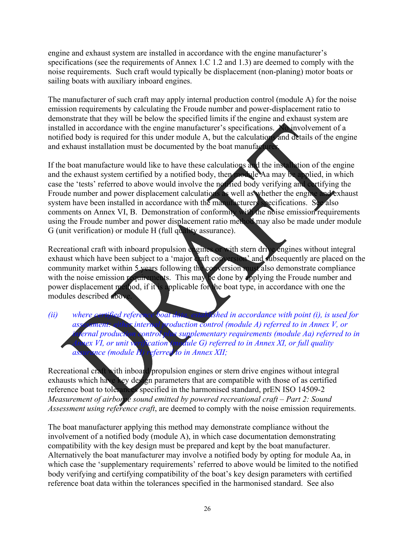engine and exhaust system are installed in accordance with the engine manufacturer's specifications (see the requirements of Annex 1.C 1.2 and 1.3) are deemed to comply with the noise requirements. Such craft would typically be displacement (non-planing) motor boats or sailing boats with auxiliary inboard engines.

The manufacturer of such craft may apply internal production control (module A) for the noise emission requirements by calculating the Froude number and power-displacement ratio to demonstrate that they will be below the specified limits if the engine and exhaust system are installed in accordance with the engine manufacturer's specifications. No involvement of a notified body is required for this under module A, but the calculations and details of the engine and exhaust installation must be documented by the boat manufacturer.

If the boat manufacture would like to have these calculations and the installation of the engine and the exhaust system certified by a notified body, then module Aa may be applied, in which case the 'tests' referred to above would involve the notified body verifying and certifying the Froude number and power displacement calculations as well as whether the engine and exhaust system have been installed in accordance with the manufacturers specifications. See also comments on Annex VI, B. Demonstration of conformity with the noise emission requirements using the Froude number and power displacement ratio method may also be made under module G (unit verification) or module H (full quality assurance).

Recreational craft with inboard propulsion engines or with stern drive engines without integral exhaust which have been subject to a 'major craft conversion' and subsequently are placed on the community market within 5 years following the conversion must also demonstrate compliance with the noise emission requirements. This may be done by applying the Froude number and power displacement method, if it is applicable for the boat type, in accordance with one the modules described above.

*(ii)* where certified reference boat data, established in accordance with point *(i), is used for* asset for an asset of the *x* interval production control *(module A) referred to in Annex V, or assessment: either internal production control (module A) referred to in Annex V, or in errial production control plus supplementary requirements (module Aa) referred to i*ernal production control plus supplementary requirements (module Aa) referred to in <br>livex VI, or unit verification (module G) referred to in Annex XI, or full quality *Annex VI, or unit verification (module G) referred to in Annex XI, or full quality* $\alpha$ *assurance (module H) referred to in Annex XII;* 

Recreational craft with inboard propulsion engines or stern drive engines without integral exhausts which have key design parameters that are compatible with those of as certified reference boat to tolerances specified in the harmonised standard, prEN ISO 14509-2 *Measurement of airborne sound emitted by powered recreational craft – Part 2: Sound Assessment using reference craft*, are deemed to comply with the noise emission requirements.

The boat manufacturer applying this method may demonstrate compliance without the involvement of a notified body (module A), in which case documentation demonstrating compatibility with the key design must be prepared and kept by the boat manufacturer. Alternatively the boat manufacturer may involve a notified body by opting for module Aa, in which case the 'supplementary requirements' referred to above would be limited to the notified body verifying and certifying compatibility of the boat's key design parameters with certified reference boat data within the tolerances specified in the harmonised standard. See also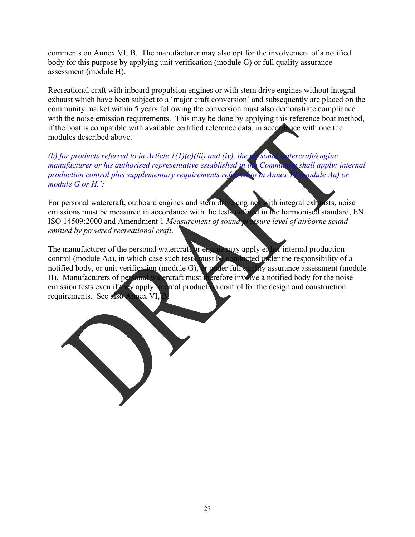comments on Annex VI, B. The manufacturer may also opt for the involvement of a notified body for this purpose by applying unit verification (module G) or full quality assurance assessment (module H).

Recreational craft with inboard propulsion engines or with stern drive engines without integral exhaust which have been subject to a 'major craft conversion' and subsequently are placed on the community market within 5 years following the conversion must also demonstrate compliance with the noise emission requirements. This may be done by applying this reference boat method, if the boat is compatible with available certified reference data, in accordance with one the modules described above.

*(b) for products referred to in Article 1(1)(c)(iii) and (iv), the personal watercraft/engine manufacturer or his authorised representative established in the Community shall apply: internal production control plus supplementary requirements referred to in Annex VI (module Aa) or module G or H.';*

For personal watercraft, outboard engines and stern drive engines with integral exhausts, noise emissions must be measured in accordance with the tests defined in the harmonised standard, EN ISO 14509:2000 and Amendment 1 *Measurement of sound pressure level of airborne sound emitted by powered recreational craft*.

The manufacturer of the personal watercraft or engine may apply either internal production control (module Aa), in which case such tests must be conducted under the responsibility of a notified body, or unit verification (module G), or under full quality assurance assessment (module H). Manufacturers of personal watercraft must therefore involve a notified body for the noise emission tests even if they apply internal production control for the design and construction requirements. See also Annex VI,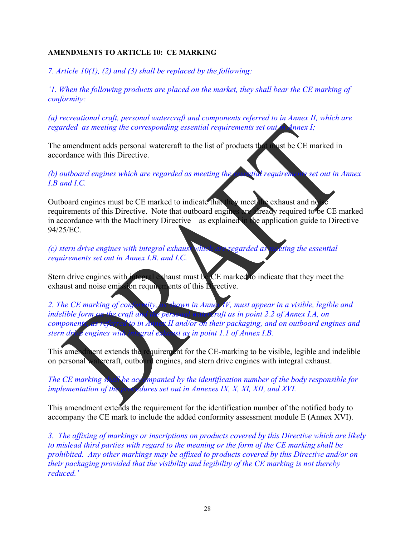#### **AMENDMENTS TO ARTICLE 10: CE MARKING**

*7. Article 10(1), (2) and (3) shall be replaced by the following:* 

*'1. When the following products are placed on the market, they shall bear the CE marking of conformity:* 

*(a) recreational craft, personal watercraft and components referred to in Annex II, which are regarded as meeting the corresponding essential requirements set out in Annex I;* 

The amendment adds personal watercraft to the list of products that must be CE marked in accordance with this Directive.

*(b) outboard engines which are regarded as meeting the essential requirements set out in Annex I.B and I.C.* 

Outboard engines must be CE marked to indicate that they meet the exhaust and no requirements of this Directive. Note that outboard engines are already required to be CE marked in accordance with the Machinery Directive – as explained in the application guide to Directive 94/25/EC.

*(c) stern drive engines with integral exhaust which are regarded as meeting the essential requirements set out in Annex I.B. and I.C.* 

Stern drive engines with integral exhaust must be CE marked to indicate that they meet the exhaust and noise emission requirements of this Directive.

*2. The CE marking of conformity, as shown in Annex IV, must appear in a visible, legible and indelible form on the craft and the personal watercraft as in point 2.2 of Annex I.A, on components, as referred to in Annex II and/or on their packaging, and on outboard engines and stern drive engines with integral exhaust as in point 1.1 of Annex I.B.* 

This amendment extends the requirement for the CE-marking to be visible, legible and indelible on personal watercraft, outboard engines, and stern drive engines with integral exhaust.

*The CE marking shall be accompanied by the identification number of the body responsible for implementation of the procedures set out in Annexes IX, X, XI, XII, and XVI.* 

This amendment extends the requirement for the identification number of the notified body to accompany the CE mark to include the added conformity assessment module E (Annex XVI).

*3. The affixing of markings or inscriptions on products covered by this Directive which are likely to mislead third parties with regard to the meaning or the form of the CE marking shall be prohibited. Any other markings may be affixed to products covered by this Directive and/or on their packaging provided that the visibility and legibility of the CE marking is not thereby reduced.'*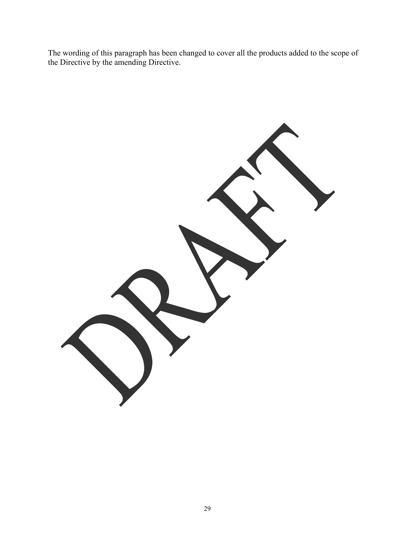The wording of this paragraph has been changed to cover all the products added to the scope of the Directive by the amending Directive.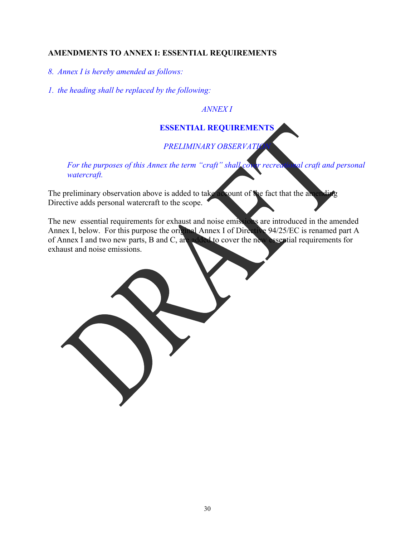## **AMENDMENTS TO ANNEX I: ESSENTIAL REQUIREMENTS**

*8. Annex I is hereby amended as follows:* 

*1. the heading shall be replaced by the following:* 

*ANNEX I* 

# **ESSENTIAL REQUIREMENTS**

# **PRELIMINARY OBSERVATI**

*For the purposes of this Annex the term "craft" shall cover recreational craft and personal watercraft.* 

The preliminary observation above is added to take account of the fact that the ame Directive adds personal watercraft to the scope.

The new essential requirements for exhaust and noise emissions are introduced in the amended Annex I, below. For this purpose the original Annex I of Directive 94/25/EC is renamed part A of Annex I and two new parts, B and C, are added to cover the new essential requirements for exhaust and noise emissions.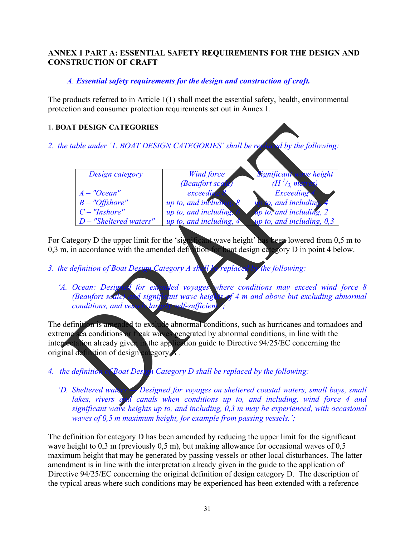# **ANNEX 1 PART A: ESSENTIAL SAFETY REQUIREMENTS FOR THE DESIGN AND CONSTRUCTION OF CRAFT**

# *A. Essential safety requirements for the design and construction of craft.*

The products referred to in Article 1(1) shall meet the essential safety, health, environmental protection and consumer protection requirements set out in Annex I.

#### **1. BOAT DESIGN CATEGORIES**

*2. the table under '1. BOAT DESIGN CATEGORIES' shall be replaced by the following:* 

| Design category          | <b>Wind force</b>                     | Significant wave height        |
|--------------------------|---------------------------------------|--------------------------------|
|                          | (Beaufort scale)                      | $(H^{1}/_{3})$ metro           |
| $A - "Ocean"$            | exceeding                             | Exceeding                      |
| $B - "Offshore"$         | up to, and including                  | to, and including, 4           |
| $C$ – "Inshore"          | up to, and including,                 | Ap to, and including, 2        |
| $D$ – "Sheltered waters" | up to, and including, $4\overline{ }$ | $\nu$ to, and including, $0,3$ |

For Category D the upper limit for the 'significant wave height' has been lowered from 0,5 m to 0,3 m, in accordance with the amended definition for boat design category D in point 4 below.

- *3. the definition of Boat Design Category A shall be replaced by the following:* 
	- *'A. Ocean: Designed for extended voyages where conditions may exceed wind force 8 (Beaufort scale) and significant wave heights of 4 m and above but excluding abnormal conditions, and vessels largely self-sufficient.*

The definition is amended to exclude abnormal conditions, such as hurricanes and tornadoes and extreme sea conditions or freak waves generated by abnormal conditions, in line with the interpretation already given in the application guide to Directive 94/25/EC concerning the original definition of design category A .

- *4. the definition of Boat Design Category D shall be replaced by the following:* 
	- *'D. Sheltered waters Designed for voyages on sheltered coastal waters, small bays, small*  lakes, rivers and canals when conditions up to, and including, wind force 4 and *significant wave heights up to, and including, 0,3 m may be experienced, with occasional waves of 0,5 m maximum height, for example from passing vessels.';*

The definition for category D has been amended by reducing the upper limit for the significant wave height to 0,3 m (previously 0,5 m), but making allowance for occasional waves of 0,5 maximum height that may be generated by passing vessels or other local disturbances. The latter amendment is in line with the interpretation already given in the guide to the application of Directive 94/25/EC concerning the original definition of design category D. The description of the typical areas where such conditions may be experienced has been extended with a reference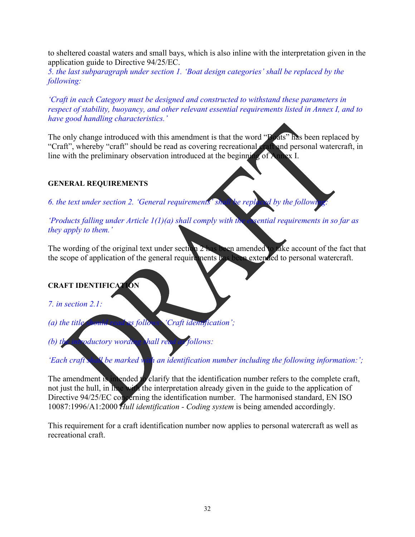to sheltered coastal waters and small bays, which is also inline with the interpretation given in the application guide to Directive 94/25/EC.

*5. the last subparagraph under section 1. 'Boat design categories' shall be replaced by the following:* 

*'Craft in each Category must be designed and constructed to withstand these parameters in respect of stability, buoyancy, and other relevant essential requirements listed in Annex I, and to have good handling characteristics.'* 

The only change introduced with this amendment is that the word "Boats" has been replaced by "Craft", whereby "craft" should be read as covering recreational craft and personal watercraft, in line with the preliminary observation introduced at the beginning of Annex I.

## **GENERAL REQUIREMENTS**

*6. the text under section 2. 'General requirements' shall be replaced by the following:* 

*'Products falling under Article 1(1)(a) shall comply with the essential requirements in so far as they apply to them.'* 

The wording of the original text under section 2 has been amended to take account of the fact that the scope of application of the general requirements has been extended to personal watercraft.

# **CRAFT IDENTIFICATION**

*7. in section 2.1:* 

*(a) the title should read as follows: 'Craft identification';* 

*(b) the introductory wording shall read as follows:* 

*'Each craft shall be marked with an identification number including the following information:';* 

The amendment is intended to clarify that the identification number refers to the complete craft, not just the hull, in line with the interpretation already given in the guide to the application of Directive 94/25/EC concerning the identification number. The harmonised standard, EN ISO 10087:1996/A1:2000 *Hull identification - Coding system* is being amended accordingly.

This requirement for a craft identification number now applies to personal watercraft as well as recreational craft.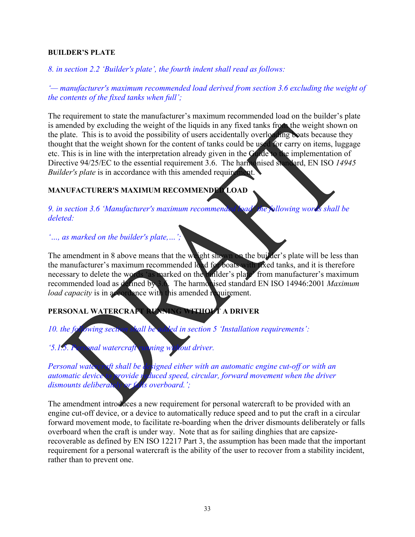#### **BUILDER'S PLATE**

*8. in section 2.2 'Builder's plate', the fourth indent shall read as follows:* 

*'— manufacturer's maximum recommended load derived from section 3.6 excluding the weight of the contents of the fixed tanks when full';* 

The requirement to state the manufacturer's maximum recommended load on the builder's plate is amended by excluding the weight of the liquids in any fixed tanks from the weight shown on the plate. This is to avoid the possibility of users accidentally overloading boats because they thought that the weight shown for the content of tanks could be used for carry on items, luggage etc. This is in line with the interpretation already given in the Guide to the implementation of Directive 94/25/EC to the essential requirement 3.6. The harmonised standard, EN ISO *14945 Builder's plate* is in accordance with this amended requirement.

# **MANUFACTURER'S MAXIMUM RECOMMENDED LOAD**

*9. in section 3.6 'Manufacturer's maximum recommended load' the following words shall be deleted:* 

*'…, as marked on the builder's plate,…';* 

The amendment in 8 above means that the weight shown on the builder's plate will be less than the manufacturer's maximum recommended load for boats with fixed tanks, and it is therefore necessary to delete the words 'as marked on the builder's plate from manufacturer's maximum recommended load as defined by 3.6. The harmonised standard EN ISO 14946:2001 *Maximum load capacity* is in accordance with this amended requirement.

# **PERSONAL WATERCRAFT RUNNING WITHOUT A DRIVER**

*10. the following section shall be added in section 5 'Installation requirements':* 

*'5.1.5. Personal watercraft running without driver.* 

*Personal watercraft shall be designed either with an automatic engine cut-off or with an automatic device to provide reduced speed, circular, forward movement when the driver dismounts deliberately or falls overboard.';* 

The amendment introduces a new requirement for personal watercraft to be provided with an engine cut-off device, or a device to automatically reduce speed and to put the craft in a circular forward movement mode, to facilitate re-boarding when the driver dismounts deliberately or falls overboard when the craft is under way. Note that as for sailing dinghies that are capsizerecoverable as defined by EN ISO 12217 Part 3, the assumption has been made that the important requirement for a personal watercraft is the ability of the user to recover from a stability incident, rather than to prevent one.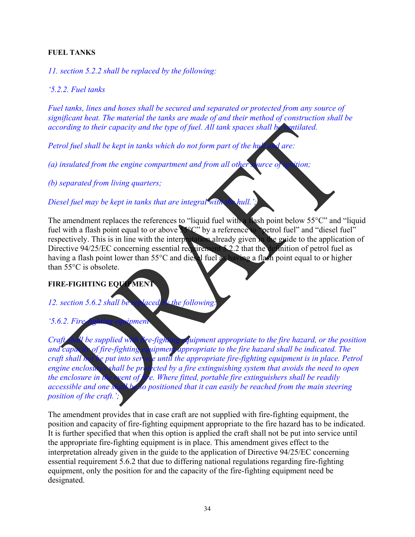## **FUEL TANKS**

*11. section 5.2.2 shall be replaced by the following:* 

*'5.2.2. Fuel tanks* 

*Fuel tanks, lines and hoses shall be secured and separated or protected from any source of significant heat. The material the tanks are made of and their method of construction shall be according to their capacity and the type of fuel. All tank spaces shall be ventilated.* 

*Petrol fuel shall be kept in tanks which do not form part of the hull and are:* 

*(a) insulated from the engine compartment and from all other source of ignition;* 

*(b) separated from living quarters;* 

*Diesel fuel may be kept in tanks that are integral with the hull.';* 

The amendment replaces the references to "liquid fuel with a flash point below  $55^{\circ}$ C" and "liquid" fuel with a flash point equal to or above  $S^{\circ}C^{\circ}$  by a reference to "petrol fuel" and "diesel fuel" respectively. This is in line with the interpretation already given in the guide to the application of Directive 94/25/EC concerning essential requirement 5.2.2 that the definition of petrol fuel as having a flash point lower than 55°C and diesel fuel as having a flash point equal to or higher than 55°C is obsolete.

# **FIRE-FIGHTING EQUIPMENT**

*12. section 5.6.2 shall be replaced by the following:* 

*'5.6.2. Fire-fighting equipment* 

*Craft shall be supplied with fire-fighting equipment appropriate to the fire hazard, or the position Craft shall be supplied with [ive-fighting cquipment appropriate to the fire hazard, or the position*<br>and capacity of fire-fighting equipment appropriate to the fire hazard shall be indicated. The<br>craft shall not be put i *craft shall not be put into service until the appropriate fire-fighting equipment is in place. Petrol engine enclosures shall be protected by a fire extinguishing system that avoids the need to open the enclosure in the event of fire. Where fitted, portable fire extinguishers shall be readily accessible and one shall be so positioned that it can easily be reached from the main steering position of the craft.';* 

The amendment provides that in case craft are not supplied with fire-fighting equipment, the position and capacity of fire-fighting equipment appropriate to the fire hazard has to be indicated. It is further specified that when this option is applied the craft shall not be put into service until the appropriate fire-fighting equipment is in place. This amendment gives effect to the interpretation already given in the guide to the application of Directive 94/25/EC concerning essential requirement 5.6.2 that due to differing national regulations regarding fire-fighting equipment, only the position for and the capacity of the fire-fighting equipment need be designated.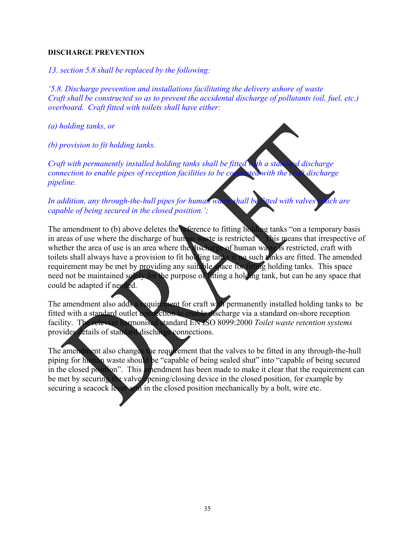#### **DISCHARGE PREVENTION**

*13. section 5.8 shall be replaced by the following:* 

*'5.8. Discharge prevention and installations facilitating the delivery ashore of waste Craft shall be constructed so as to prevent the accidental discharge of pollutants (oil, fuel, etc.) overboard. Craft fitted with toilets shall have either:* 

*(a) holding tanks, or* 

*(b) provision to fit holding tanks.* 

*Craft with permanently installed holding tanks shall be fitted with a standard discharge connection to enable pipes of reception facilities to be connected with the craft discharge pipeline.* 

*In addition, any through-the-hull pipes for human waste shall be fitted with valves which are capable of being secured in the closed position.';* 

The amendment to (b) above deletes the reference to fitting holding tanks "on a temporary basis in areas of use where the discharge of human waste is restricted". This means that irrespective of whether the area of use is an area where the discharge of human waste is restricted, craft with toilets shall always have a provision to fit holding tanks if no such tanks are fitted. The amended requirement may be met by providing any suitable space for fitting holding tanks. This space need not be maintained solely for the purpose of fitting a holding tank, but can be any space that could be adapted if needed.

The amendment also adds a requirement for craft with permanently installed holding tanks to be fitted with a standard outlet connection to enable discharge via a standard on-shore reception facility. The relevant harmonised standard EN ISO 8099:2000 *Toilet waste retention systems*  provides details of standard discharge connections.

The amendment also changes the requirement that the valves to be fitted in any through-the-hull piping for human waste should be "capable of being sealed shut" into "capable of being secured in the closed position". This amendment has been made to make it clear that the requirement can be met by securing the valve opening/closing device in the closed position, for example by securing a seacock level arm in the closed position mechanically by a bolt, wire etc.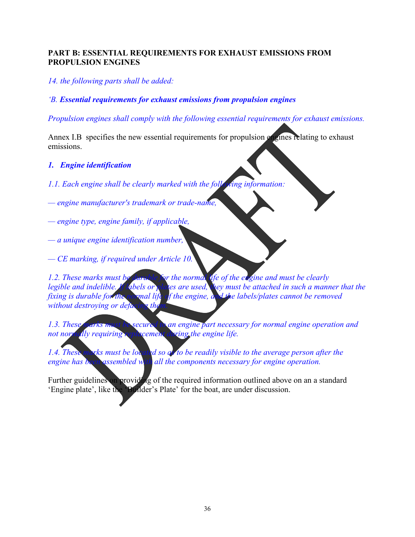## **PART B: ESSENTIAL REQUIREMENTS FOR EXHAUST EMISSIONS FROM PROPULSION ENGINES**

*14. the following parts shall be added:* 

*'B. Essential requirements for exhaust emissions from propulsion engines* 

*Propulsion engines shall comply with the following essential requirements for exhaust emissions.* 

Annex I.B specifies the new essential requirements for propulsion engines relating to exhaust emissions.

#### *1. Engine identification*

- *1.1. Each engine shall be clearly marked with the following information:*
- *engine manufacturer's trademark or trade-name,*
- *engine type, engine family, if applicable,*
- *a unique engine identification number,*
- *CE marking, if required under Article 10.*

*1.2. These marks must be durable for the normal life of the engine and must be clearly legible and indelible. If dibels or plates are used, they must be attached in such a manner that the fixing is durable for the normal life of the engine, and the labels/plates cannot be removed without destroying or defails* 

*1.3. These marks must be secured to an engine part necessary for normal engine operation and not normally requiring replacement during the engine life.* 

1.4. These marks must be located so a to be readily visible to the average person after the *engine has been assembled with all the components necessary for engine operation.* 

Further guidelines on providing of the required information outlined above on an a standard 'Engine plate', like the 'Builder's Plate' for the boat, are under discussion.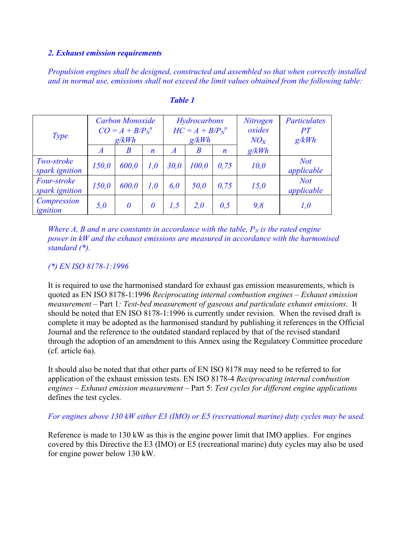#### *2. Exhaust emission requirements*

*Propulsion engines shall be designed, constructed and assembled so that when correctly installed and in normal use, emissions shall not exceed the limit values obtained from the following table:* 

| Type                          | <b>Carbon Monoxide</b><br>$CO = A + B/P_N^{\ n}$<br>g/kWh |                  |                  | Hydrocarbons<br>$HC = A + B/P_N^{\ n}$<br>g/kWh |                  |                  | Nitrogen<br>oxides<br>$NO_x$ | <b>Particulates</b><br>PT<br>g/kWh |  |
|-------------------------------|-----------------------------------------------------------|------------------|------------------|-------------------------------------------------|------------------|------------------|------------------------------|------------------------------------|--|
|                               | $\overline{A}$                                            | $\boldsymbol{B}$ | $\boldsymbol{n}$ | $\overline{A}$                                  | $\boldsymbol{B}$ | $\boldsymbol{n}$ | g/kWh                        |                                    |  |
| Two-stroke<br>spark ignition  | 150,0                                                     | 600,0            | 1,0              | 30,0                                            | 100,0            | 0,75             | 10,0                         | <b>Not</b><br>applicable           |  |
| Four-stroke<br>spark ignition | 150,0                                                     | 600,0            | 1,0              | 6,0                                             | 50,0             | 0.75             | 15,0                         | <b>Not</b><br>applicable           |  |
| Compression<br>ignition       | 5,0                                                       | $\theta$         | 0                | 1,5                                             | 2,0              | 0,5              | 9,8                          | 1,0                                |  |

#### *Table 1*

*Where A, B and n are constants in accordance with the table,*  $P_N$  *is the rated engine power in kW and the exhaust emissions are measured in accordance with the harmonised standard (\*).* 

#### *(\*) EN ISO 8178-1:1996*

It is required to use the harmonised standard for exhaust gas emission measurements, which is quoted as EN ISO 8178-1:1996 *Reciprocating internal combustion engines – Exhaust emission measurement* – Part 1*: Test-bed measurement of gaseous and particulate exhaust emissions*. It should be noted that EN ISO 8178-1:1996 is currently under revision. When the revised draft is complete it may be adopted as the harmonised standard by publishing it references in the Official Journal and the reference to the outdated standard replaced by that of the revised standard through the adoption of an amendment to this Annex using the Regulatory Committee procedure (cf. article 6a).

It should also be noted that that other parts of EN ISO 8178 may need to be referred to for application of the exhaust emission tests. EN ISO 8178-4 *Reciprocating internal combustion engines – Exhaust emission measurement* – Part 5: *Test cycles for different engine applications* defines the test cycles.

#### *For engines above 130 kW either E3 (IMO) or E5 (recreational marine) duty cycles may be used.*

Reference is made to 130 kW as this is the engine power limit that IMO applies. For engines covered by this Directive the E3 (IMO) or E5 (recreational marine) duty cycles may also be used for engine power below 130 kW.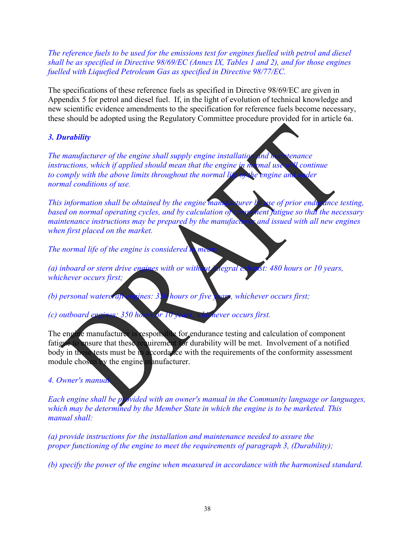*The reference fuels to be used for the emissions test for engines fuelled with petrol and diesel shall be as specified in Directive 98/69/EC (Annex IX, Tables 1 and 2), and for those engines fuelled with Liquefied Petroleum Gas as specified in Directive 98/77/EC.* 

The specifications of these reference fuels as specified in Directive 98/69/EC are given in Appendix 5 for petrol and diesel fuel. If, in the light of evolution of technical knowledge and new scientific evidence amendments to the specification for reference fuels become necessary, these should be adopted using the Regulatory Committee procedure provided for in article 6a.

# *3. Durability*

*The manufacturer of the engine shall supply engine installation and maintenance instructions, which if applied should mean that the engine in normal use will continue* to comply with the above limits throughout the normal life of the engine and under *normal conditions of use.* 

*This information shall be obtained by the engine manufacturer by use of prior endurance testing, based on normal operating cycles, and by calculation of component fatigue so that the necessary maintenance instructions may be prepared by the manufacturer and issued with all new engines when first placed on the market.* 

*The normal life of the engine is considered to mea* 

*(a) inboard or stern drive engines with or without integral exhaust: 480 hours or 10 years, whichever occurs first;* 

*(b) personal watercraft engines: 350 hours or five years, whichever occurs first;* 

*(c) outboard engines: 350 hours or 10 years, whichever occurs first.* 

The engine manufacturer is responsible for endurance testing and calculation of component fatigue to ensure that these requirement for durability will be met. Involvement of a notified body in these tests must be in accordance with the requirements of the conformity assessment module chosen by the engine manufacturer.

## *4. Owner's manual*

*Each engine shall be provided with an owner's manual in the Community language or languages, which may be determined by the Member State in which the engine is to be marketed. This manual shall:* 

*(a) provide instructions for the installation and maintenance needed to assure the proper functioning of the engine to meet the requirements of paragraph 3, (Durability);* 

*(b) specify the power of the engine when measured in accordance with the harmonised standard.*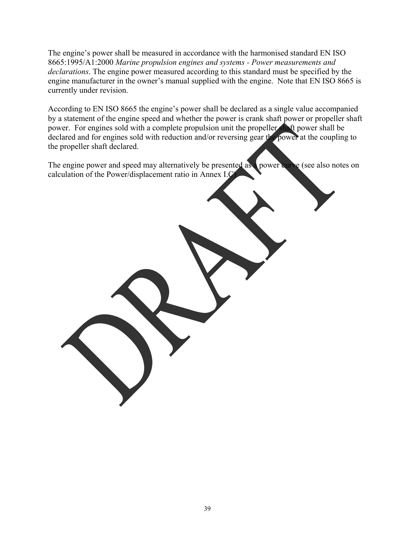The engine's power shall be measured in accordance with the harmonised standard EN ISO 8665:1995/A1:2000 *Marine propulsion engines and systems - Power measurements and declarations*. The engine power measured according to this standard must be specified by the engine manufacturer in the owner's manual supplied with the engine. Note that EN ISO 8665 is currently under revision.

According to EN ISO 8665 the engine's power shall be declared as a single value accompanied by a statement of the engine speed and whether the power is crank shaft power or propeller shaft power. For engines sold with a complete propulsion unit the propeller shaft power shall be declared and for engines sold with reduction and/or reversing gear the power at the coupling to the propeller shaft declared.

The engine power and speed may alternatively be presented as a power curve (see also notes on calculation of the Power/displacement ratio in Annex I.C)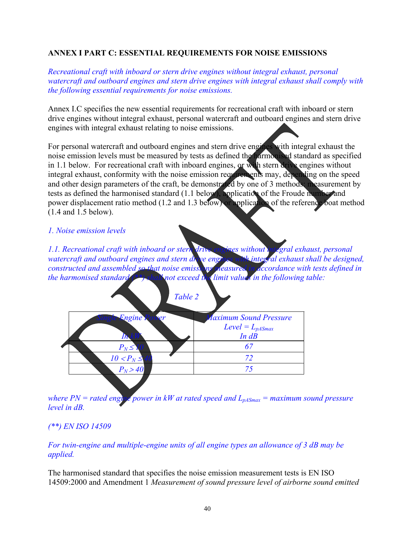# **ANNEX I PART C: ESSENTIAL REQUIREMENTS FOR NOISE EMISSIONS**

*Recreational craft with inboard or stern drive engines without integral exhaust, personal watercraft and outboard engines and stern drive engines with integral exhaust shall comply with the following essential requirements for noise emissions.* 

Annex I.C specifies the new essential requirements for recreational craft with inboard or stern drive engines without integral exhaust, personal watercraft and outboard engines and stern drive engines with integral exhaust relating to noise emissions.

For personal watercraft and outboard engines and stern drive engines with integral exhaust the noise emission levels must be measured by tests as defined the harmonised standard as specified in 1.1 below. For recreational craft with inboard engines, or with stern drive engines without integral exhaust, conformity with the noise emission requirements may, depending on the speed and other design parameters of the craft, be demonstrated by one of 3 methods: measurement by tests as defined the harmonised standard (1.1 below), application of the Froude number and power displacement ratio method (1.2 and 1.3 below) or application of the reference boat method (1.4 and 1.5 below).

*1. Noise emission levels* 

*1.1. Recreational craft with inboard or stern drive engines without integral exhaust, personal*  watercraft and outboard engines and stern drive engines with integral exhaust shall be designed, *constructed and assembled so that noise emissions measured in accordance with tests defined in the harmonised standard (\*\*) shall not exceed the limit values in the following table:* 

|                 | Table 2 |                                   |
|-----------------|---------|-----------------------------------|
| <b>Engine P</b> | rer     | <b>Maximum Sound Pressure</b>     |
| I'n.            |         | $Level = L_{pASmax}$<br>$In$ $dB$ |
| $P_N \leq 1$    |         | 6                                 |
| $10 < P_N \leq$ |         | 72                                |
| $P_N > 40$      |         | 75                                |
|                 |         |                                   |

*where PN = rated enging power in kW at rated speed and*  $L_{pASmax}$  *= maximum sound pressure level in dB.* 

## *(\*\*) EN ISO 14509*

*For twin-engine and multiple-engine units of all engine types an allowance of 3 dB may be applied.* 

The harmonised standard that specifies the noise emission measurement tests is EN ISO 14509:2000 and Amendment 1 *Measurement of sound pressure level of airborne sound emitted*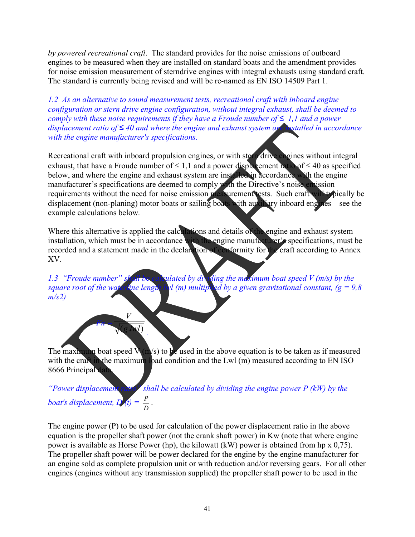*by powered recreational craft*. The standard provides for the noise emissions of outboard engines to be measured when they are installed on standard boats and the amendment provides for noise emission measurement of sterndrive engines with integral exhausts using standard craft. The standard is currently being revised and will be re-named as EN ISO 14509 Part 1.

*1.2 As an alternative to sound measurement tests, recreational craft with inboard engine configuration or stern drive engine configuration, without integral exhaust, shall be deemed to comply with these noise requirements if they have a Froude number of*  $\leq 1,1$  and a power *displacement ratio of ≤ 40 and where the engine and exhaust system are installed in accordance with the engine manufacturer's specifications.* 

Recreational craft with inboard propulsion engines, or with stern drive engines without integral exhaust, that have a Froude number of  $\leq 1,1$  and a power displacement ratio of  $\leq 40$  as specified below, and where the engine and exhaust system are installed in accordance with the engine manufacturer's specifications are deemed to comply with the Directive's noise emission requirements without the need for noise emission measurement tests. Such craft will typically be displacement (non-planing) motor boats or sailing boats with auxiliary inboard engines – see the example calculations below*.* 

Where this alternative is applied the calculations and details of the engine and exhaust system installation, which must be in accordance with the engine manufacturer's specifications, must be recorded and a statement made in the declaration of conformity for the craft according to Annex XV.

1.3 "Froude number" shall be calculated by dividing the maximum boat speed V (m/s) by the *square root of the water ine length byl (m) multiplied by a given gravitational constant,*  $(g = 9.8)$ *m/s2)* 

The maximum boat speed  $\mathbf{V}(\mathbf{n}/s)$  to be used in the above equation is to be taken as if measured with the craft in the maximum load condition and the Lwl (m) measured according to EN ISO 8666 Principal data.

*Fn =* (*g*.*lwl*) *V*

*.* 

*"Power displacement ratio" shall be calculated by dividing the engine power P (kW) by the boat's displacement,*  $\overrightarrow{D}$   $\overrightarrow{t}$  =  $\frac{P}{D}$ .

The engine power (P) to be used for calculation of the power displacement ratio in the above equation is the propeller shaft power (not the crank shaft power) in Kw (note that where engine power is available as Horse Power (hp), the kilowatt (kW) power is obtained from hp x 0,75). The propeller shaft power will be power declared for the engine by the engine manufacturer for an engine sold as complete propulsion unit or with reduction and/or reversing gears. For all other engines (engines without any transmission supplied) the propeller shaft power to be used in the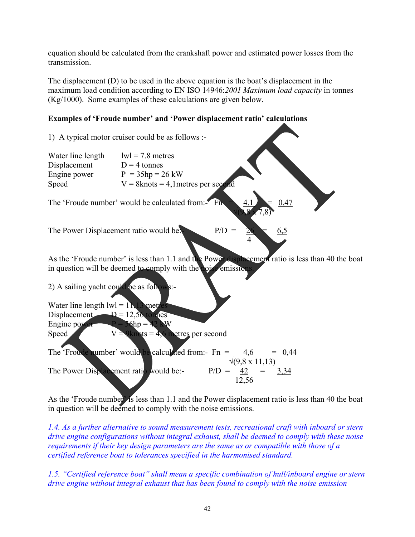equation should be calculated from the crankshaft power and estimated power losses from the transmission.

The displacement (D) to be used in the above equation is the boat's displacement in the maximum load condition according to EN ISO 14946:*2001 Maximum load capacity* in tonnes (Kg/1000). Some examples of these calculations are given below.

# **Examples of 'Froude number' and 'Power displacement ratio' calculations**



As the 'Froude number' is less than 1.1 and the Power displacement ratio is less than 40 the boat in question will be deemed to comply with the noise emissions.

*1.4. As a further alternative to sound measurement tests, recreational craft with inboard or stern drive engine configurations without integral exhaust, shall be deemed to comply with these noise requirements if their key design parameters are the same as or compatible with those of a certified reference boat to tolerances specified in the harmonised standard.* 

*1.5. "Certified reference boat" shall mean a specific combination of hull/inboard engine or stern drive engine without integral exhaust that has been found to comply with the noise emission*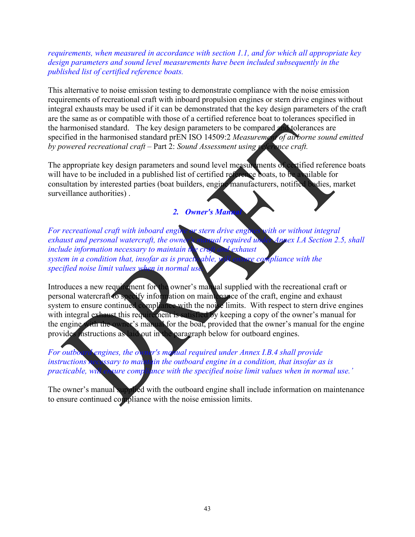*requirements, when measured in accordance with section 1.1, and for which all appropriate key design parameters and sound level measurements have been included subsequently in the published list of certified reference boats.* 

This alternative to noise emission testing to demonstrate compliance with the noise emission requirements of recreational craft with inboard propulsion engines or stern drive engines without integral exhausts may be used if it can be demonstrated that the key design parameters of the craft are the same as or compatible with those of a certified reference boat to tolerances specified in the harmonised standard. The key design parameters to be compared and tolerances are specified in the harmonised standard prEN ISO 14509:2 *Measurement of airborne sound emitted by powered recreational craft* – Part 2: *Sound Assessment using reference craft.* 

The appropriate key design parameters and sound level measurements of certified reference boats will have to be included in a published list of certified reference boats, to be available for consultation by interested parties (boat builders, engine manufacturers, notified bodies, market surveillance authorities) .

#### *2. Owner's Manual*

*For recreational craft with inboard engine or stern drive engines with or without integral exhaust and personal watercraft, the owner's manual required under Annex I.A Section 2.5, shall include information necessary to maintain the craft and exhaust system in a condition that, insofar as is practicable, will ensure compliance with the specified noise limit values when in normal use.* 

Introduces a new requirement for the owner's manual supplied with the recreational craft or personal watercraft to specify information on maintenance of the craft, engine and exhaust system to ensure continued compliance with the noise limits. With respect to stern drive engines with integral exhaust this requirement is satisfied by keeping a copy of the owner's manual for the engine with the owner's manual for the boat, provided that the owner's manual for the engine provides instructions as laid out in the paragraph below for outboard engines.

*For outboard engines, the owner's manual required under Annex I.B.4 shall provide instructions necessary to maintain the outboard engine in a condition, that insofar as is practicable, will ensure compliance with the specified noise limit values when in normal use.'* 

The owner's manual supplied with the outboard engine shall include information on maintenance to ensure continued compliance with the noise emission limits.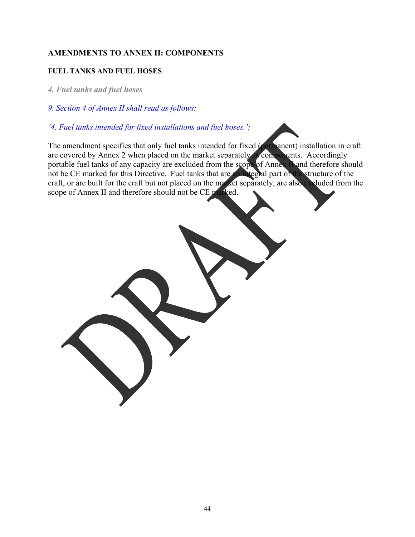# **AMENDMENTS TO ANNEX II: COMPONENTS**

#### **FUEL TANKS AND FUEL HOSES**

- *4. Fuel tanks and fuel hoses*
- *9. Section 4 of Annex II shall read as follows:*
- *'4. Fuel tanks intended for fixed installations and fuel hoses.';*

The amendment specifies that only fuel tanks intended for fixed (permanent) installation in craft are covered by Annex 2 when placed on the market separately as components. Accordingly portable fuel tanks of any capacity are excluded from the scope of Annex II and therefore should not be CE marked for this Directive. Fuel tanks that are an integral part of the structure of the craft, or are built for the craft but not placed on the market separately, are also excluded from the scope of Annex II and therefore should not be CE marked.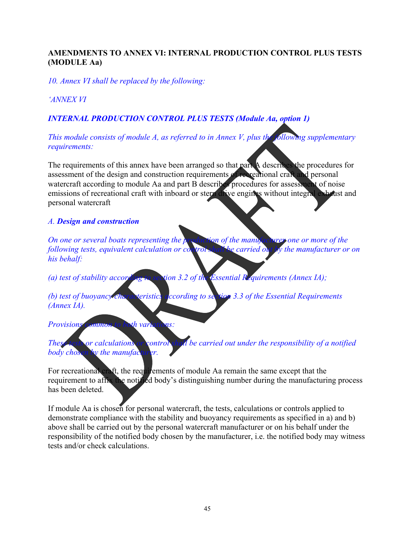# **AMENDMENTS TO ANNEX VI: INTERNAL PRODUCTION CONTROL PLUS TESTS (MODULE Aa)**

*10. Annex VI shall be replaced by the following:* 

# *'ANNEX VI*

# *INTERNAL PRODUCTION CONTROL PLUS TESTS (Module Aa, option 1)*

*This module consists of module A, as referred to in Annex V, plus the following supplementary requirements:* 

The requirements of this annex have been arranged so that part A describes the procedures for assessment of the design and construction requirements of recreational craft and personal watercraft according to module Aa and part B describes procedures for assessment of noise emissions of recreational craft with inboard or stern drive engines without integral exhaust and personal watercraft

#### *A. Design and construction*

*On one or several boats representing the production of the manufacturer one or more of the following tests, equivalent calculation or control shall be carried out by the manufacturer or on his behalf:* 

*(a) test of stability according to section 3.2 of the Essential Requirements (Annex IA);* 

*(b) test of buoyancy characteristics according to section 3.3 of the Essential Requirements (Annex IA).* 

*Provisions common to both variations:* 

*These tests or calculations or control shall be carried out under the responsibility of a notified body chosen by the manufacturer.* 

For recreational craft, the requirements of module Aa remain the same except that the requirement to affix the notified body's distinguishing number during the manufacturing process has been deleted.

If module Aa is chosen for personal watercraft, the tests, calculations or controls applied to demonstrate compliance with the stability and buoyancy requirements as specified in a) and b) above shall be carried out by the personal watercraft manufacturer or on his behalf under the responsibility of the notified body chosen by the manufacturer, i.e. the notified body may witness tests and/or check calculations.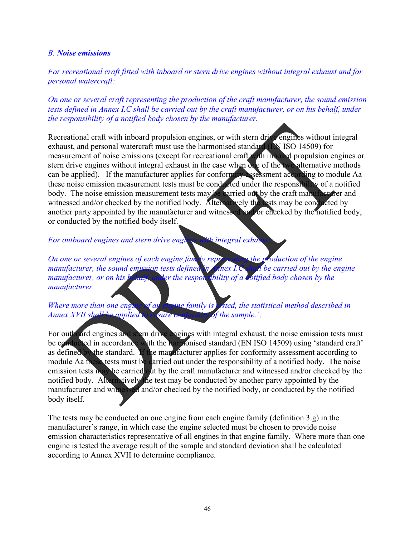#### *B. Noise emissions*

*For recreational craft fitted with inboard or stern drive engines without integral exhaust and for personal watercraft:* 

*On one or several craft representing the production of the craft manufacturer, the sound emission tests defined in Annex I.C shall be carried out by the craft manufacturer, or on his behalf, under the responsibility of a notified body chosen by the manufacturer.* 

Recreational craft with inboard propulsion engines, or with stern drive engines without integral exhaust, and personal watercraft must use the harmonised standard (EN ISO 14509) for measurement of noise emissions (except for recreational craft with inboard propulsion engines or stern drive engines without integral exhaust in the case when one of the two alternative methods can be applied). If the manufacturer applies for conformity assessment according to module Aa these noise emission measurement tests must be conducted under the responsibility of a notified body. The noise emission measurement tests may be carried out by the craft manufacturer and witnessed and/or checked by the notified body. Alternatively the tests may be conducted by another party appointed by the manufacturer and witnessed and/or checked by the notified body, or conducted by the notified body itself.

*For outboard engines and stern drive engings with integral exhaustion* 

*On one or several engines of each engine family representing the production of the engine manufacturer, the sound emission tests defined in Annex I.C shall be carried out by the engine manufacturer, or on his kehalf, under the responsibility of a notified body chosen by the manufacturer.* 

*Where more than one engine of an engine family is A <i>isted, the statistical method described in Annex XVII shall be applied to ensure conformity of the sample.':* 

For outboard engines and stern drive engines with integral exhaust, the noise emission tests must be conducted in accordance with the harmonised standard (EN ISO 14509) using 'standard craft' as defined by the standard. If the manufacturer applies for conformity assessment according to module Aa these tests must be carried out under the responsibility of a notified body. The noise emission tests may be carried out by the craft manufacturer and witnessed and/or checked by the notified body. Alternatively the test may be conducted by another party appointed by the manufacturer and witnessed and/or checked by the notified body, or conducted by the notified body itself.

The tests may be conducted on one engine from each engine family (definition 3.g) in the manufacturer's range, in which case the engine selected must be chosen to provide noise emission characteristics representative of all engines in that engine family. Where more than one engine is tested the average result of the sample and standard deviation shall be calculated according to Annex XVII to determine compliance.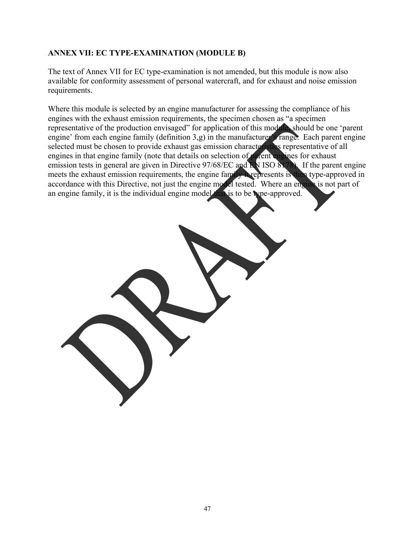## **ANNEX VII: EC TYPE-EXAMINATION (MODULE B)**

The text of Annex VII for EC type-examination is not amended, but this module is now also available for conformity assessment of personal watercraft, and for exhaust and noise emission requirements.

Where this module is selected by an engine manufacturer for assessing the compliance of his engines with the exhaust emission requirements, the specimen chosen as "a specimen representative of the production envisaged" for application of this module, should be one 'parent engine' from each engine family (definition 3,g) in the manufacturer's range. Each parent engine selected must be chosen to provide exhaust gas emission characteristics representative of all engines in that engine family (note that details on selection of parent engines for exhaust emission tests in general are given in Directive 97/68/EC and EN ISO 8178). If the parent engine meets the exhaust emission requirements, the engine family it represents is then type-approved in accordance with this Directive, not just the engine model tested. Where an engine is not part of an engine family, it is the individual engine model that is to be type-approved.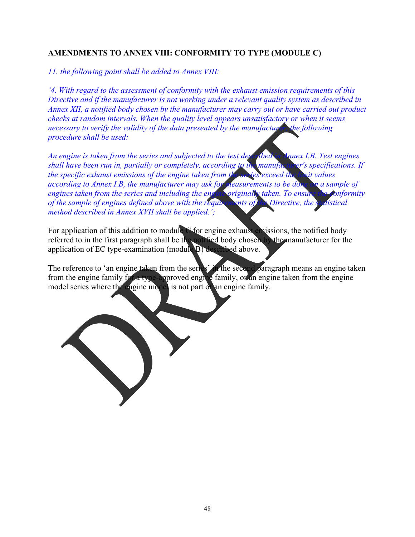# **AMENDMENTS TO ANNEX VIII: CONFORMITY TO TYPE (MODULE C)**

*11. the following point shall be added to Annex VIII:* 

*'4. With regard to the assessment of conformity with the exhaust emission requirements of this Directive and if the manufacturer is not working under a relevant quality system as described in Annex XII, a notified body chosen by the manufacturer may carry out or have carried out product checks at random intervals. When the quality level appears unsatisfactory or when it seems necessary to verify the validity of the data presented by the manufacturer, the following procedure shall be used:* 

*An engine is taken from the series and subjected to the test described in Annex I.B. Test engines shall have been run in, partially or completely, according to the manufacturer's specifications. If the specific exhaust emissions of the engine taken from the series exceed the limit values according to Annex I.B, the manufacturer may ask for measurements to be done on a sample of engines taken from the series and including the engine originally taken. To ensure the conformit engines taken from the series and including the engine originally taken. To ensure the conformity of the sample of engines defined above with the requirements of the Directive, the statistical method described in Annex XVII shall be applied.';* 

For application of this addition to module C for engine exhaust emissions, the notified body referred to in the first paragraph shall be the notified body chosen by the manufacturer for the application of EC type-examination (module B) described above.

The reference to 'an engine taken from the series' in the second paragraph means an engine taken from the engine family for a type-approved engine family, or an engine taken from the engine model series where the engine model is not part of an engine family.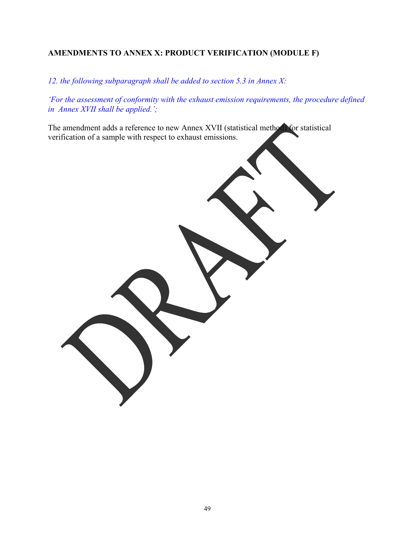# **AMENDMENTS TO ANNEX X: PRODUCT VERIFICATION (MODULE F)**

*12. the following subparagraph shall be added to section 5.3 in Annex X:* 

*'For the assessment of conformity with the exhaust emission requirements, the procedure defined in Annex XVII shall be applied.';* 

The amendment adds a reference to new Annex XVII (statistical method) for statistical verification of a sample with respect to exhaust emissions.

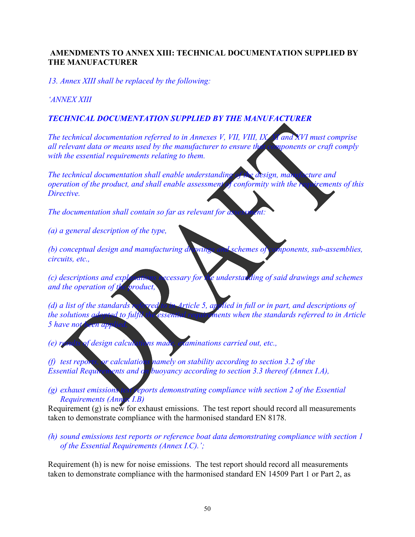## **AMENDMENTS TO ANNEX XIII: TECHNICAL DOCUMENTATION SUPPLIED BY THE MANUFACTURER**

*13. Annex XIII shall be replaced by the following:* 

*'ANNEX XIII* 

## *TECHNICAL DOCUMENTATION SUPPLIED BY THE MANUFACTURER*

*The technical documentation referred to in Annexes V, VII, VIII, IX, XI and XVI must comprise all relevant data or means used by the manufacturer to ensure that components or craft comply with the essential requirements relating to them.* 

*The technical documentation shall enable understanding of the design, manufacture and operation of the product, and shall enable assessment of conformity with the requirements of this Directive.* 

*The documentation shall contain so far as relevant for as* 

*(a) a general description of the type,* 

*(b) conceptual design and manufacturing drawings and schemes of components, sub-assemblies, circuits, etc.,* 

*(c) descriptions and explanations necessary for the understanding of said drawings and schemes and the operation of the product,* 

*(d) a list of the standards referred to in Article 5, applied in full or in part, and descriptions of the solutions adopted to fulfil the essential requirements when the standards referred to in Article 5 have not been app* 

*(e) results of design calculations made, examinations carried out, etc.,* 

*(f) test reports, or calculations namely on stability according to section 3.2 of the Essential Requirements and on buoyancy according to section 3.3 thereof (Annex I.A),* 

*(g) exhaust emissions test reports demonstrating compliance with section 2 of the Essential Requirements (Annex I.B)* 

Requirement (g) is new for exhaust emissions. The test report should record all measurements taken to demonstrate compliance with the harmonised standard EN 8178.

*(h) sound emissions test reports or reference boat data demonstrating compliance with section 1 of the Essential Requirements (Annex I.C).';* 

Requirement (h) is new for noise emissions. The test report should record all measurements taken to demonstrate compliance with the harmonised standard EN 14509 Part 1 or Part 2, as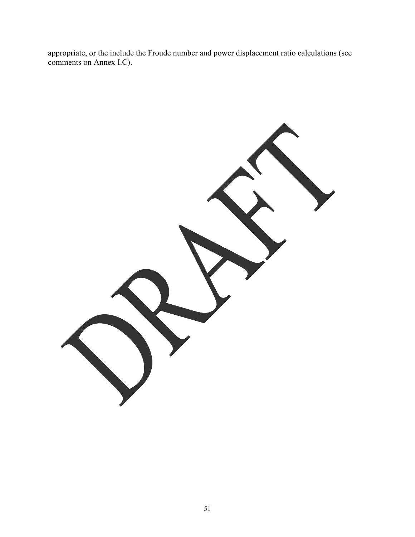appropriate, or the include the Froude number and power displacement ratio calculations (see comments on Annex I.C).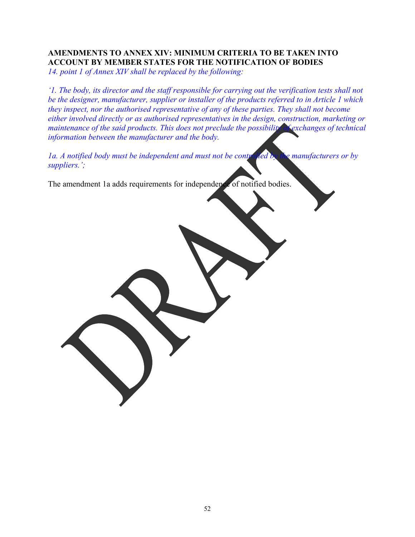# **AMENDMENTS TO ANNEX XIV: MINIMUM CRITERIA TO BE TAKEN INTO ACCOUNT BY MEMBER STATES FOR THE NOTIFICATION OF BODIES**

*14. point 1 of Annex XIV shall be replaced by the following:* 

*'1. The body, its director and the staff responsible for carrying out the verification tests shall not be the designer, manufacturer, supplier or installer of the products referred to in Article 1 which they inspect, nor the authorised representative of any of these parties. They shall not become either involved directly or as authorised representatives in the design, construction, marketing or maintenance of the said products. This does not preclude the possibility of exchanges of technical information between the manufacturer and the body.* 

*1a. A notified body must be independent and must not be controlled by the manufacturers or by suppliers.';* 

The amendment 1a adds requirements for independence of notified bodies.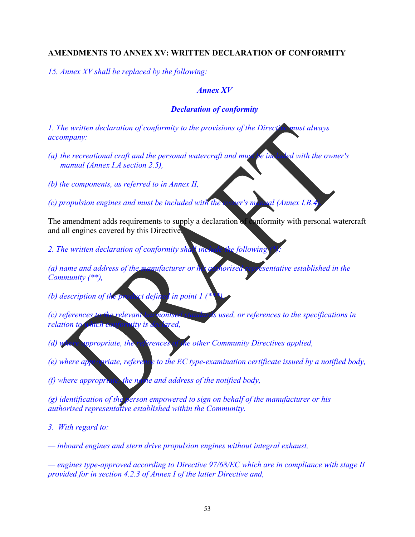#### **AMENDMENTS TO ANNEX XV: WRITTEN DECLARATION OF CONFORMITY**

*15. Annex XV shall be replaced by the following:* 

#### *Annex XV*

#### *Declaration of conformity*

*1. The written declaration of conformity to the provisions of the Directive must always accompany:* 

- *(a) the recreational craft and the personal watercraft and must be included with the owner's manual (Annex I.A section 2.5),*
- *(b) the components, as referred to in Annex II,*

*(c) propulsion engines and must be included with the owner's manual (Annex I.B.4).* 

The amendment adds requirements to supply a declaration of conformity with personal watercraft and all engines covered by this Directive.

*2. The written declaration of conformity shall include the following (\*):* 

*(a) name and address of the manufacturer or his authorised representative established in the Community (\*\*),* 

- *(b) description of the product defined in point 1*
- *(c) references to the relevant harmonised standards used, or references to the specifications in relation to which conformity is declared,*
- *(d) where appropriate, the references of the other Community Directives applied,*
- *(e) where appropriate, reference to the EC type-examination certificate issued by a notified body,*
- *(f) where appropriate, the name and address of the notified body,*
- *(g) identification of the person empowered to sign on behalf of the manufacturer or his authorised representative established within the Community.*
- *3. With regard to:*

*— inboard engines and stern drive propulsion engines without integral exhaust,* 

*— engines type-approved according to Directive 97/68/EC which are in compliance with stage II provided for in section 4.2.3 of Annex I of the latter Directive and,*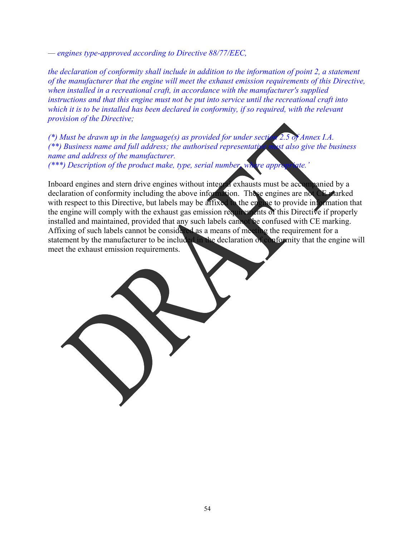*— engines type-approved according to Directive 88/77/EEC,* 

*the declaration of conformity shall include in addition to the information of point 2, a statement of the manufacturer that the engine will meet the exhaust emission requirements of this Directive, when installed in a recreational craft, in accordance with the manufacturer's supplied instructions and that this engine must not be put into service until the recreational craft into which it is to be installed has been declared in conformity, if so required, with the relevant provision of the Directive;* 

*(\*) Must be drawn up in the language(s) as provided for under section 2.5 of Annex I.A. (\*\*) Business name and full address; the authorised representative must also give the business name and address of the manufacturer. (\*\*\*) Description of the product make, type, serial number, where appropriate.'*

Inboard engines and stern drive engines without integral exhausts must be accompanied by a declaration of conformity including the above information. These engines are not CE marked with respect to this Directive, but labels may be affixed to the engine to provide information that the engine will comply with the exhaust gas emission requirements of this Directive if properly installed and maintained, provided that any such labels cannot be confused with CE marking. Affixing of such labels cannot be considered as a means of meeting the requirement for a statement by the manufacturer to be included in the declaration of conformity that the engine will meet the exhaust emission requirements.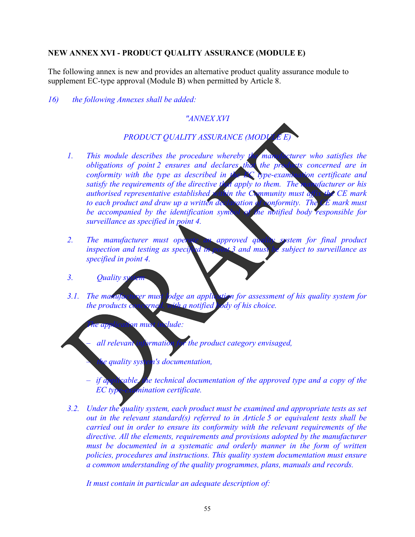## **NEW ANNEX XVI - PRODUCT QUALITY ASSURANCE (MODULE E)**

The following annex is new and provides an alternative product quality assurance module to supplement EC-type approval (Module B) when permitted by Article 8.

*16) the following Annexes shall be added:* 

## *"ANNEX XVI*

## **PRODUCT QUALITY ASSURANCE (MODUL**

- *1. This module describes the procedure whereby the manufacturer who satisfies the obligations of point 2 ensures and declares that the products concerned are in conformity with the type as described in the EC type-examination certificate and satisfy the requirements of the directive that apply to them. The manufacturer or his authorised representative established within the Community must affix the CE mark to each product and draw up a written declaration of conformity. The CE mark must be accompanied by the identification symbol of the notified body responsible for surveillance as specified in point 4.*
- 2. The manufacturer must operate an approved quality system for final product *inspection and testing as specified in point 3 and must be subject to surveillance as specified in point 4.*
- 3. Ouality sy
- *3.1.* The manufacturer must lodge an application for assessment of his quality system for *the products concerned, with a notified body of his choice.*

*The application must include:* 

*– all relevant information for the product category envisaged,* 

*– the quality system's documentation,* 

- *if applicable, the technical documentation of the approved type and a copy of the EC type-examination certificate.*
- *3.2. Under the quality system, each product must be examined and appropriate tests as set out in the relevant standard(s) referred to in Article 5 or equivalent tests shall be carried out in order to ensure its conformity with the relevant requirements of the directive. All the elements, requirements and provisions adopted by the manufacturer must be documented in a systematic and orderly manner in the form of written policies, procedures and instructions. This quality system documentation must ensure a common understanding of the quality programmes, plans, manuals and records.*

*It must contain in particular an adequate description of:*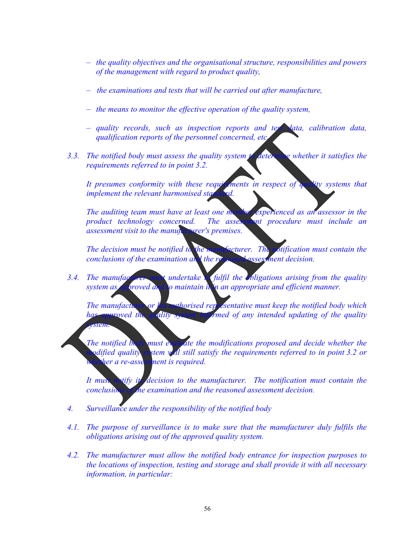- *the quality objectives and the organisational structure, responsibilities and powers of the management with regard to product quality,*
- *the examinations and tests that will be carried out after manufacture,*
- *the means to monitor the effective operation of the quality system,*
- *quality records, such as inspection reports and test data, calibration data, qualification reports of the personnel concerned, etc.*
- *3.3. The notified body must assess the quality system to determine whether it satisfies the requirements referred to in point 3.2.*

It presumes conformity with these requirements in respect of quality systems that *implement the relevant harmonised standard.* 

*The auditing team must have at least one member experienced as an assessor in the product technology concerned. The assessment procedure must include an assessment visit to the manufacturer's premises.* 

*The decision must be notified to the manufacturer. The notification must contain the conclusions of the examination and the reasoned assessment decision.* 

3.4. The manufacturer must undertake to fulfil the obligations arising from the quality *system as approved and to maintain it in an appropriate and efficient manner.* 

*The manufacturer or his authorised representative must keep the notified body which has approved the quality system informed of any intended updating of the quality system.* 

*The notified body must evaluate the modifications proposed and decide whether the modified quality system will still satisfy the requirements referred to in point 3.2 or Mer a re-assessment is required.* 

*It must notify its decision to the manufacturer. The notification must contain the conclusions of the examination and the reasoned assessment decision.* 

- *4. Surveillance under the responsibility of the notified body*
- *4.1. The purpose of surveillance is to make sure that the manufacturer duly fulfils the obligations arising out of the approved quality system.*
- *4.2. The manufacturer must allow the notified body entrance for inspection purposes to the locations of inspection, testing and storage and shall provide it with all necessary information, in particular:*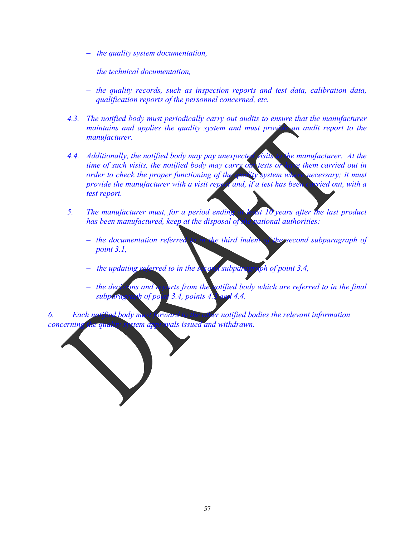- *the quality system documentation,*
- *the technical documentation,*
- *the quality records, such as inspection reports and test data, calibration data, qualification reports of the personnel concerned, etc.*
- *4.3. The notified body must periodically carry out audits to ensure that the manufacturer maintains and applies the quality system and must provide an audit report to the manufacturer.*
- *4.4. Additionally, the notified body may pay unexpected visits to the manufacturer. At the time of such visits, the notified body may carry out tests or have them carried out in*  order to check the proper functioning of the quality system where necessary; it must *provide the manufacturer with a visit report and, if a test has been carried out, with a test report.*
- *5. The manufacturer must, for a period ending at least 10 years after the last product has been manufactured, keep at the disposal of the national authorities:* 
	- *the documentation referred to in the third indent of the second subparagraph of point 3.1,*
	- *the updating referred to in the second subparagraph of point 3.4,*
	- *the decisions and reports from the rotified body which are referred to in the final subparagraph of point 3.4, points 4.3 and 4.4.*

*6. Each notified body must forward to the other notified bodies the relevant information concerning the quality system approvals issued and withdrawn.*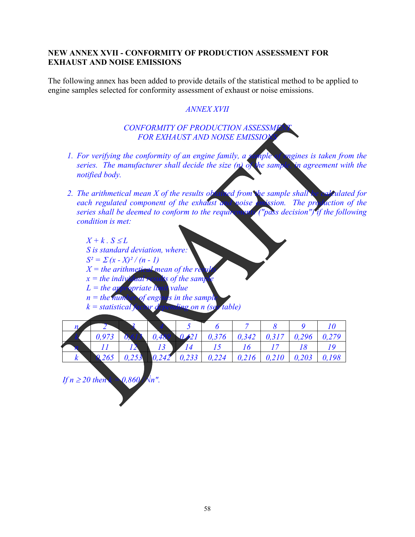## **NEW ANNEX XVII - CONFORMITY OF PRODUCTION ASSESSMENT FOR EXHAUST AND NOISE EMISSIONS**

The following annex has been added to provide details of the statistical method to be applied to engine samples selected for conformity assessment of exhaust or noise emissions.

## *ANNEX XVII*

#### **CONFORMITY OF PRODUCTION ASSESSME FOR EXHAUST AND NOISE EMISSION**

- *1. For verifying the conformity of an engine family, a sample of engines is taken from the series. The manufacturer shall decide the size (n) of the sample, in agreement with the notified body.*
- *2. The arithmetical mean X of the results obtained from the sample shall be calculated for each regulated component of the exhaust and noise emission. The production of the series shall be deemed to conform to the requirement* ("pass decision") if the following *series shall be deemed to conform to the requirements (where*  $\alpha$  *be degree shall be degree to conform to the requirements condition is met:*

 $X + k$  .  $S \leq L$ *S is standard deviation, where:*   $S^2 = \sum (x - X)^2 / (n - 1)$  $X =$  the arithmetical mean of the results *x*  $x =$  the individual results of the sample. *L = the appropriate limit value*   $n =$  the number of engines in the sample *k = statistical factor depending on n (see table)* 

|  | 0,973 | 0,48 | $0.21$   0,376   0,342   0,317   0,296   0,279 |  |  |
|--|-------|------|------------------------------------------------|--|--|
|  |       |      |                                                |  |  |
|  | 265   |      |                                                |  |  |

*If n* ≥ 20 then  $k = 0,860$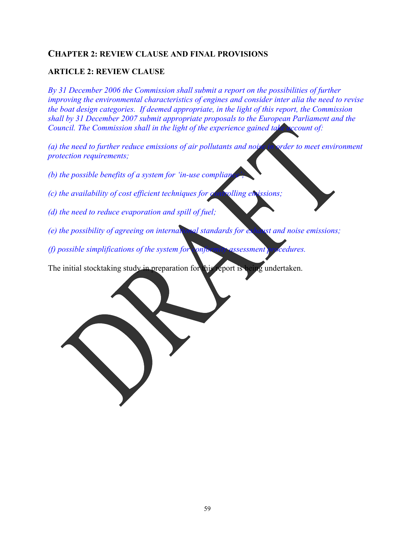# **CHAPTER 2: REVIEW CLAUSE AND FINAL PROVISIONS**

## **ARTICLE 2: REVIEW CLAUSE**

*By 31 December 2006 the Commission shall submit a report on the possibilities of further improving the environmental characteristics of engines and consider inter alia the need to revise the boat design categories. If deemed appropriate, in the light of this report, the Commission shall by 31 December 2007 submit appropriate proposals to the European Parliament and the Council. The Commission shall in the light of the experience gained take account of:* 

*(a) the need to further reduce emissions of air pollutants and noise in order to meet environment protection requirements;* 

- *(b) the possible benefits of a system for 'in-use complianglength*
- *(c) the availability of cost efficient techniques for controlling emissions;*
- *(d) the need to reduce evaporation and spill of fuel;*
- *(e) the possibility of agreeing on international standards for exhaust and noise emissions;*
- *(f) possible simplifications of the system for conformity assessment procedures.*

The initial stocktaking study in preparation for this report is being undertaken.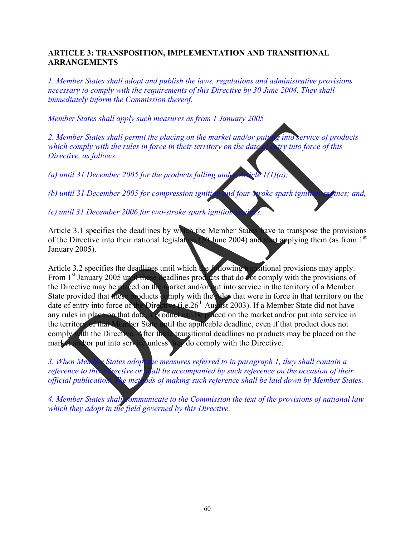## **ARTICLE 3: TRANSPOSITION, IMPLEMENTATION AND TRANSITIONAL ARRANGEMENTS**

*1. Member States shall adopt and publish the laws, regulations and administrative provisions necessary to comply with the requirements of this Directive by 30 June 2004. They shall immediately inform the Commission thereof.* 

*Member States shall apply such measures as from 1 January 2005* 

*2. Member States shall permit the placing on the market and/or putting into service of products which comply with the rules in force in their territory on the date of entry into force of this Directive, as follows:* 

*(a) until 31 December 2005 for the products falling under Article 1(1)(a);* 

*(b) until 31 December 2005 for compression ignition and four-stroke spark ignition engines; and,* 

*(c) until 31 December 2006 for two-stroke spark ignition* 

Article 3.1 specifies the deadlines by which the Member States have to transpose the provisions of the Directive into their national legislation (30 June 2004) and start applying them (as from 1<sup>st</sup>) January 2005).

Article 3.2 specifies the deadlines until which the following transitional provisions may apply. From 1<sup>st</sup> January 2005 until these deadlines products that do not comply with the provisions of the Directive may be placed on the market and/or put into service in the territory of a Member State provided that these products comply with the rules that were in force in that territory on the date of entry into force of the Directive (i.e. 26<sup>th</sup> August 2003). If a Member State did not have any rules in place on that date, a product can be placed on the market and/or put into service in the territory of that Member State until the applicable deadline, even if that product does not comply with the Directive. After these transitional deadlines no products may be placed on the market and/or put into service unless they do comply with the Directive.

*3. When Member States adopt the measures referred to in paragraph 1, they shall contain a reference to this* Directive or shall be accompanied by such reference on the occasion of their *official publication. The methods of making such reference shall be laid down by Member States.* 

*4. Member States shall communicate to the Commission the text of the provisions of national law which they adopt in the field governed by this Directive.*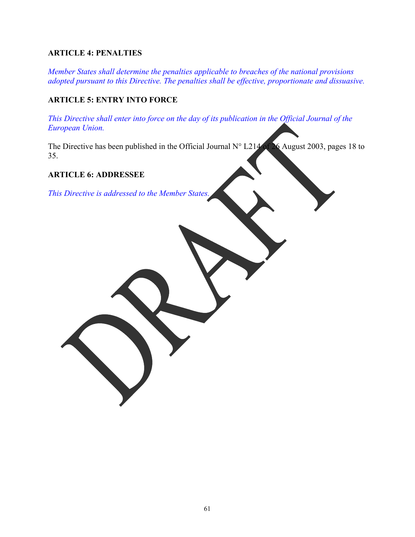# **ARTICLE 4: PENALTIES**

*Member States shall determine the penalties applicable to breaches of the national provisions adopted pursuant to this Directive. The penalties shall be effective, proportionate and dissuasive.* 

# **ARTICLE 5: ENTRY INTO FORCE**

*This Directive shall enter into force on the day of its publication in the Official Journal of the European Union.* 

The Directive has been published in the Official Journal N° L214 of 26 August 2003, pages 18 to 35.

#### **ARTICLE 6: ADDRESSEE**

*This Directive is addressed to the Member States.*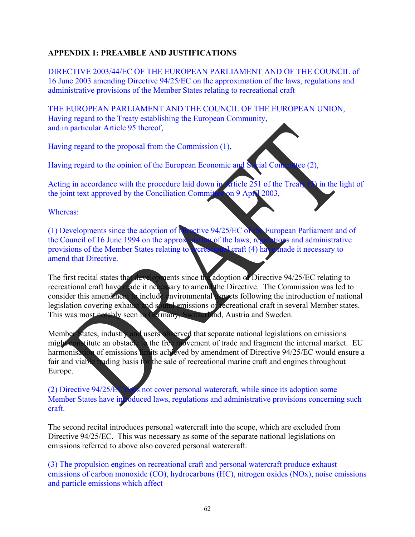# **APPENDIX 1: PREAMBLE AND JUSTIFICATIONS**

DIRECTIVE 2003/44/EC OF THE EUROPEAN PARLIAMENT AND OF THE COUNCIL of 16 June 2003 amending Directive 94/25/EC on the approximation of the laws, regulations and administrative provisions of the Member States relating to recreational craft

THE EUROPEAN PARLIAMENT AND THE COUNCIL OF THE EUROPEAN UNION, Having regard to the Treaty establishing the European Community, and in particular Article 95 thereof,

Having regard to the proposal from the Commission (1),

Having regard to the opinion of the European Economic and Social Committee (2),

Acting in accordance with the procedure laid down in Article 251 of the Treaty (3) in the light of the joint text approved by the Conciliation Committee on 9 April 2003,

Whereas:

(1) Developments since the adoption of Directive 94/25/EC of the European Parliament and of the Council of 16 June 1994 on the approximation of the laws, regulations and administrative provisions of the Member States relating to recreational craft (4) have made it necessary to amend that Directive.

The first recital states that developments since the adoption of Directive 94/25/EC relating to recreational craft have made it necessary to amend the Directive. The Commission was led to consider this amendment to include environmental aspects following the introduction of national legislation covering exhaust and sound emissions of recreational craft in several Member states. This was most notably seen in Germany, Switzerland, Austria and Sweden.

Member States, industry and users observed that separate national legislations on emissions might constitute an obstacle to the free movement of trade and fragment the internal market. EU harmonisation of emissions limits achieved by amendment of Directive 94/25/EC would ensure a fair and viable trading basis for the sale of recreational marine craft and engines throughout Europe.

(2) Directive 94/25/EC does not cover personal watercraft, while since its adoption some Member States have introduced laws, regulations and administrative provisions concerning such craft.

The second recital introduces personal watercraft into the scope, which are excluded from Directive 94/25/EC. This was necessary as some of the separate national legislations on emissions referred to above also covered personal watercraft.

(3) The propulsion engines on recreational craft and personal watercraft produce exhaust emissions of carbon monoxide (CO), hydrocarbons (HC), nitrogen oxides (NOx), noise emissions and particle emissions which affect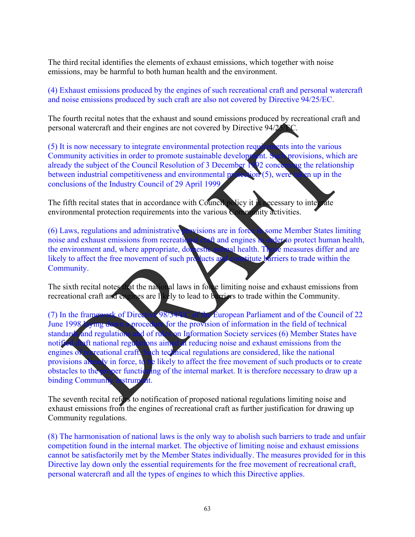The third recital identifies the elements of exhaust emissions, which together with noise emissions, may be harmful to both human health and the environment.

(4) Exhaust emissions produced by the engines of such recreational craft and personal watercraft and noise emissions produced by such craft are also not covered by Directive 94/25/EC.

The fourth recital notes that the exhaust and sound emissions produced by recreational craft and personal watercraft and their engines are not covered by Directive 94/25

(5) It is now necessary to integrate environmental protection requirements into the various Community activities in order to promote sustainable development. Such provisions, which are already the subject of the Council Resolution of 3 December 1992 concerning the relationship between industrial competitiveness and environmental protection (5), were taken up in the conclusions of the Industry Council of 29 April 1999.

The fifth recital states that in accordance with Council policy it is necessary to integrate environmental protection requirements into the various Community activities.

(6) Laws, regulations and administrative provisions are in force in some Member States limiting noise and exhaust emissions from recreational craft and engines in order to protect human health, the environment and, where appropriate, domestic animal health. Those measures differ and are likely to affect the free movement of such products and constitute barriers to trade within the Community.

The sixth recital notes that the national laws in force limiting noise and exhaust emissions from recreational craft and engines are likely to lead to barriers to trade within the Community.

(7) In the framework of Directive 98/34/EC of the European Parliament and of the Council of 22<br>June 1998/34/ing down a procedure for the provision of information in the field of technical procedure for the provision of information in the field of technical standards and regulations and of rules on Information Society services (6) Member States have<br>notified draft national regulations aimed at reducing noise and exhaust emissions from the ons aimed at reducing noise and exhaust emissions from the engines of recreational craft. Such technical regulations are considered, like the national provisions already in force, to be likely to affect the free movement of such products or to create obstacles to the proper functioning of the internal market. It is therefore necessary to draw up a binding Community instrument.

The seventh recital refers to notification of proposed national regulations limiting noise and exhaust emissions from the engines of recreational craft as further justification for drawing up Community regulations.

(8) The harmonisation of national laws is the only way to abolish such barriers to trade and unfair competition found in the internal market. The objective of limiting noise and exhaust emissions cannot be satisfactorily met by the Member States individually. The measures provided for in this Directive lay down only the essential requirements for the free movement of recreational craft, personal watercraft and all the types of engines to which this Directive applies.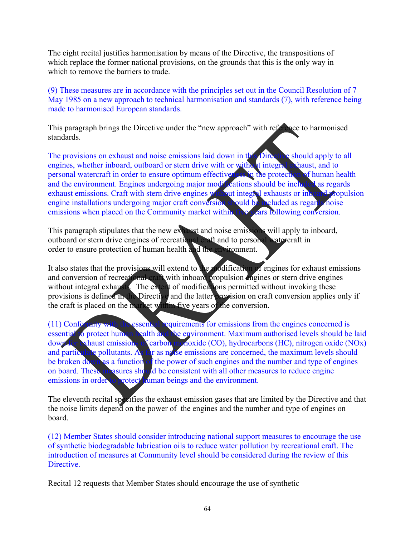The eight recital justifies harmonisation by means of the Directive, the transpositions of which replace the former national provisions, on the grounds that this is the only way in which to remove the barriers to trade.

(9) These measures are in accordance with the principles set out in the Council Resolution of 7 May 1985 on a new approach to technical harmonisation and standards (7), with reference being made to harmonised European standards.

This paragraph brings the Directive under the "new approach" with reference to harmonised standards.

The provisions on exhaust and noise emissions laid down in this Directive should apply to all engines, whether inboard, outboard or stern drive with or without integral exhaust, and to personal watercraft in order to ensure optimum effectiveness in the protection of human health and the environment. Engines undergoing major modifications should be included as regards exhaust emissions. Craft with stern drive engines without integral exhausts or inboard propulsion engine installations undergoing major craft conversion should be included as regards noise<br>emissions when placed on the Community market within five years following conversion. emissions when placed on the Community market within

This paragraph stipulates that the new exhaust and noise emissions will apply to inboard, outboard or stern drive engines of recreational craft and to personal watercraft in order to ensure protection of human health and the environment.

It also states that the provisions will extend to the modification of engines for exhaust emissions and conversion of recreational craft with inboard propulsion engines or stern drive engines without integral exhausts. The extent of modifications permitted without invoking these provisions is defined in the Directive and the latter provision on craft conversion applies only if the craft is placed on the market within five years of the conversion.

(11) Conformity with the essential requirements for emissions from the engines concerned is essential to protect human health and the environment. Maximum authorised levels should be laid down for exhaust emissions of carbon monoxide (CO), hydrocarbons (HC), nitrogen oxide (NOx) xhaust emissions of carbon monoxide (CO), hydrocarbons (HC), nitrogen oxide (NOx) and particulate pollutants. As far as noise emissions are concerned, the maximum levels should be broken down as a function of the power of such engines and the number and type of engines on board. These measures should be consistent with all other measures to reduce engine emissions in order to protect *uman beings and the environment*.

The eleventh recital specifies the exhaust emission gases that are limited by the Directive and that the noise limits depend on the power of the engines and the number and type of engines on board.

(12) Member States should consider introducing national support measures to encourage the use of synthetic biodegradable lubrication oils to reduce water pollution by recreational craft. The introduction of measures at Community level should be considered during the review of this Directive.

Recital 12 requests that Member States should encourage the use of synthetic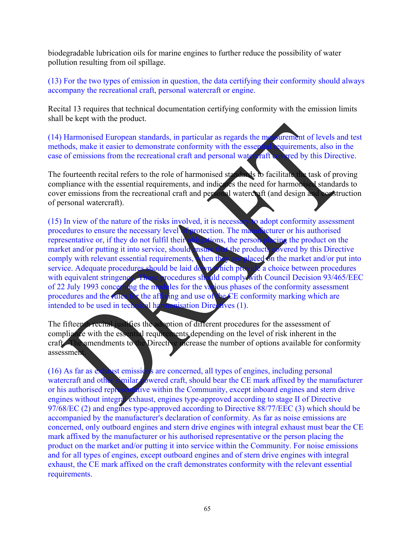biodegradable lubrication oils for marine engines to further reduce the possibility of water pollution resulting from oil spillage.

(13) For the two types of emission in question, the data certifying their conformity should always accompany the recreational craft, personal watercraft or engine.

Recital 13 requires that technical documentation certifying conformity with the emission limits shall be kept with the product.

(14) Harmonised European standards, in particular as regards the measurement of levels and test methods, make it easier to demonstrate conformity with the essential requirements, also in the case of emissions from the recreational craft and personal water raft covered by this Directive.

The fourteenth recital refers to the role of harmonised standards to facilitate the task of proving compliance with the essential requirements, and indicates the need for harmonised standards to cover emissions from the recreational craft and personal watercraft (and design and construction of personal watercraft).

(15) In view of the nature of the risks involved, it is necessary to adopt conformity assessment procedures to ensure the necessary level of protection. The manufacturer or his authorised representative or, if they do not fulfil their obligations, the person placing the product on the market and/or putting it into service, should ensure that the products covered by this Directive market and/or putting it into service, should ensure the comply with relevant essential requirements, when they are placed on the market and/or put into service. Adequate procedures should be laid down which provide a choice between procedures with equivalent stringency. Those procedures should comply with Council Decision 93/465/EEC of 22 July 1993 concerning the modules for the various phases of the conformity assessment procedures and the rules for the affixing and use of the CE conformity marking which are intended to be used in technical harmonisation Directives (1).

The fifteenth recital justifies the adoption of different procedures for the assessment of compliance with the essential requirements depending on the level of risk inherent in the craft. The amendments to the Directive increase the number of options available for conformity assessment.

(16) As far as exhaust emissions are concerned, all types of engines, including personal watercraft and other similar powered craft, should bear the CE mark affixed by the manufacturer or his authorised representative within the Community, except inboard engines and stern drive engines without integral exhaust, engines type-approved according to stage II of Directive engines without integral exhaust, engines type-approved according to stage II of Directive 97/68/EC (2) and engines type-approved according to Directive 88/77/EEC (3) which should be accompanied by the manufacturer's declaration of conformity. As far as noise emissions are concerned, only outboard engines and stern drive engines with integral exhaust must bear the CE mark affixed by the manufacturer or his authorised representative or the person placing the product on the market and/or putting it into service within the Community. For noise emissions and for all types of engines, except outboard engines and of stern drive engines with integral exhaust, the CE mark affixed on the craft demonstrates conformity with the relevant essential requirements.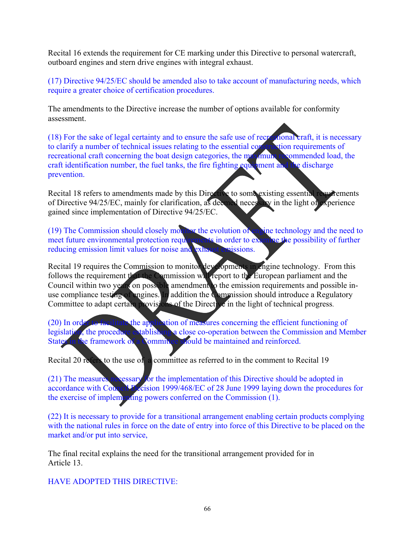Recital 16 extends the requirement for CE marking under this Directive to personal watercraft, outboard engines and stern drive engines with integral exhaust.

(17) Directive 94/25/EC should be amended also to take account of manufacturing needs, which require a greater choice of certification procedures.

The amendments to the Directive increase the number of options available for conformity assessment.

(18) For the sake of legal certainty and to ensure the safe use of recreational craft, it is necessary to clarify a number of technical issues relating to the essential construction requirements of recreational craft concerning the boat design categories, the maximum recommended load, the craft identification number, the fuel tanks, the fire fighting equipment and the discharge prevention.

Recital 18 refers to amendments made by this Directive to some existing essential requirements of Directive 94/25/EC, mainly for clarification, as deemed necessary in the light of experience gained since implementation of Directive 94/25/EC.

(19) The Commission should closely monitor the evolution of engine technology and the need to meet future environmental protection requirements in order to examine the possibility of further reducing emission limit values for noise and exhaust emissions.

Recital 19 requires the Commission to monitor developments in engine technology. From this follows the requirement that the Commission will report to the European parliament and the Council within two years on possible amendment to the emission requirements and possible inuse compliance testing of engines. In addition the Commission should introduce a Regulatory Committee to adapt certain provisions of the Directive in the light of technical progress.

(20) In order to facilitate the application of measures concerning the efficient functioning of legislation, the procedure establishing a close co-operation between the Commission and Member<br>States in the framework of a Committee should be maintained and reinforced. States in the framework of a Committee should be maintained and reinforced.

Recital 20 refers to the use of a committee as referred to in the comment to Recital 19

(21) The measures necessary for the implementation of this Directive should be adopted in accordance with Council Decision 1999/468/EC of 28 June 1999 laying down the procedures for the exercise of implementing powers conferred on the Commission (1).

(22) It is necessary to provide for a transitional arrangement enabling certain products complying with the national rules in force on the date of entry into force of this Directive to be placed on the market and/or put into service,

The final recital explains the need for the transitional arrangement provided for in Article 13.

HAVE ADOPTED THIS DIRECTIVE: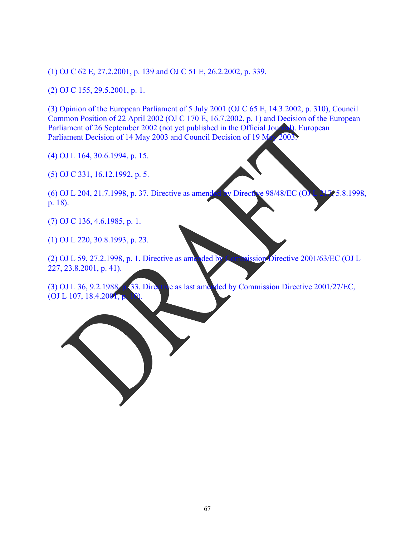(1) OJ C 62 E, 27.2.2001, p. 139 and OJ C 51 E, 26.2.2002, p. 339.

(2) OJ C 155, 29.5.2001, p. 1.

(3) Opinion of the European Parliament of 5 July 2001 (OJ C 65 E, 14.3.2002, p. 310), Council Common Position of 22 April 2002 (OJ C 170 E, 16.7.2002, p. 1) and Decision of the European Parliament of 26 September 2002 (not yet published in the Official Journal). European Parliament Decision of 14 May 2003 and Council Decision of 19 May 2003.

(4) OJ L 164, 30.6.1994, p. 15.

(5) OJ C 331, 16.12.1992, p. 5.

(6) OJ L 204, 21.7.1998, p. 37. Directive as amended by Directive 98/48/EC (OJ L 217, 5.8.1998, p. 18).

(7) OJ C 136, 4.6.1985, p. 1.

(1) OJ L 220, 30.8.1993, p. 23.

(2) OJ L 59, 27.2.1998, p. 1. Directive as amended by Commission Directive 2001/63/EC (OJ L 227, 23.8.2001, p. 41).

(3) OJ L 36, 9.2.1988, p. 33. Directive as last amended by Commission Directive 2001/27/EC,  $(OJ L 107, 18.4.2001, p.$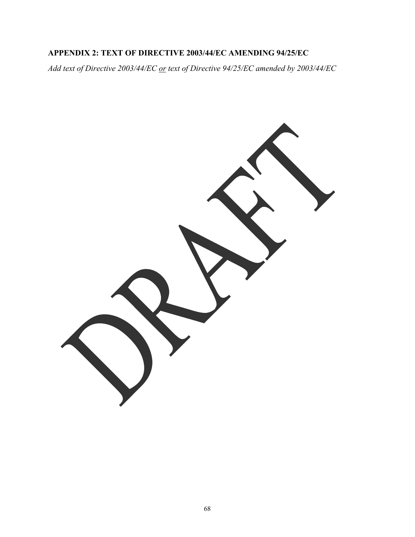# **APPENDIX 2: TEXT OF DIRECTIVE 2003/44/EC AMENDING 94/25/EC**

*Add text of Directive 2003/44/EC or text of Directive 94/25/EC amended by 2003/44/EC* 

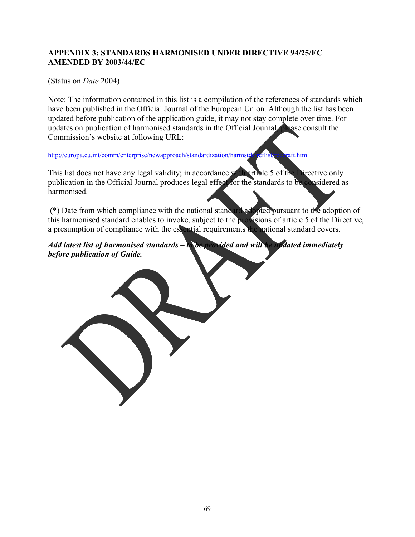# **APPENDIX 3: STANDARDS HARMONISED UNDER DIRECTIVE 94/25/EC AMENDED BY 2003/44/EC**

(Status on *Date* 2004)

Note: The information contained in this list is a compilation of the references of standards which have been published in the Official Journal of the European Union. Although the list has been updated before publication of the application guide, it may not stay complete over time. For updates on publication of harmonised standards in the Official Journal, please consult the Commission's website at following URL:

http://europa.eu.int/comm/enterprise/newapproach/standardization/harmstds/reflist/reccraft.html

This list does not have any legal validity; in accordance with article 5 of the Directive only publication in the Official Journal produces legal effect for the standards to be considered as harmonised.

 (\*) Date from which compliance with the national standard adopted pursuant to the adoption of this harmonised standard enables to invoke, subject to the provisions of article 5 of the Directive, a presumption of compliance with the essential requirements the national standard covers.

*Add latest list of harmonised standards – to be provided and will be updated immediately before publication of Guide.*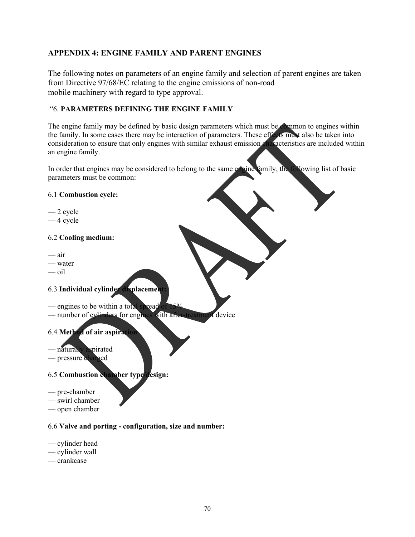# **APPENDIX 4: ENGINE FAMILY AND PARENT ENGINES**

The following notes on parameters of an engine family and selection of parent engines are taken from Directive 97/68/EC relating to the engine emissions of non-road mobile machinery with regard to type approval.

#### "6. **PARAMETERS DEFINING THE ENGINE FAMILY**

The engine family may be defined by basic design parameters which must be common to engines within the family. In some cases there may be interaction of parameters. These effects must also be taken into consideration to ensure that only engines with similar exhaust emission characteristics are included within an engine family.

In order that engines may be considered to belong to the same envine family, the following list of basic parameters must be common:

#### 6.1 **Combustion cycle:**

- 2 cycle
- 4 cycle

#### 6.2 **Cooling medium:**

- air
- water
- oil

#### 6.3 **Individual cylinder displacement:**

- $-$  engines to be within a total spread
- number of cylinders for engines with after-treatment device

## 6.4 **Method of air aspiration**

- naturally aspirated
- pressure charged

# 6.5 **Combustion chamber type/design:**

- pre-chamber
- swirl chamber
- open chamber

# 6.6 **Valve and porting - configuration, size and number:**

- cylinder head
- cylinder wall
- crankcase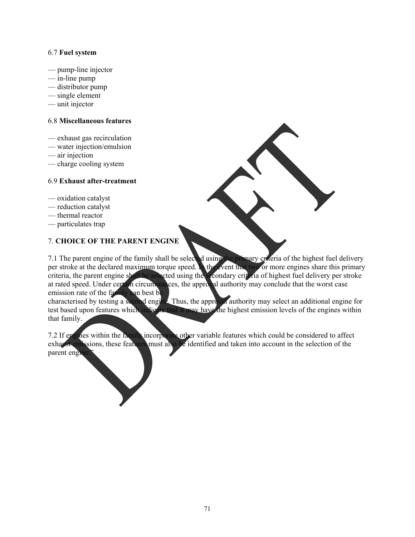#### 6.7 **Fuel system**

- pump-line injector
- in-line pump
- distributor pump
- single element
- unit injector

#### 6.8 **Miscellaneous features**

- exhaust gas recirculation
- water injection/emulsion
- air injection
- charge cooling system

#### 6.9 **Exhaust after-treatment**

- oxidation catalyst
- reduction catalyst
- thermal reactor
- particulates trap

# 7. **CHOICE OF THE PARENT ENGINE**

7.1 The parent engine of the family shall be selected using the primary criteria of the highest fuel delivery per stroke at the declared maximum torque speed. In the event that two or more engines share this primary criteria, the parent engine shall be selected using the secondary criteria of highest fuel delivery per stroke at rated speed. Under certain circumstances, the approval authority may conclude that the worst case emission rate of the family can best be

characterised by testing a second engine. Thus, the approval authority may select an additional engine for test based upon features which indicate that it may have the highest emission levels of the engines within that family.

7.2 If engines within the family incorporate other variable features which could be considered to affect exhaust emissions, these features must also be identified and taken into account in the selection of the parent engine.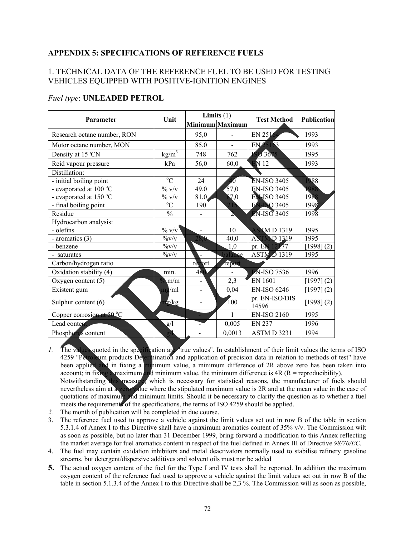## **APPENDIX 5: SPECIFICATIONS OF REFERENCE FUELS**

## 1. TECHNICAL DATA OF THE REFERENCE FUEL TO BE USED FOR TESTING VEHICLES EQUIPPED WITH POSITIVE-IGNITION ENGINES

## *Fuel type*: **UNLEADED PETROL**

| Parameter                   | Unit                 | Limits $(1)$             |                  | <b>Test Method</b>                | <b>Publication</b> |
|-----------------------------|----------------------|--------------------------|------------------|-----------------------------------|--------------------|
|                             |                      |                          | Minimum Maximum  |                                   |                    |
| Research octane number, RON |                      | 95,0                     |                  | EN 251                            | 1993               |
| Motor octane number, MON    |                      | 85,0                     |                  | EN 25163                          | 1993               |
| Density at 15 'CN           | kg/m <sup>3</sup>    | 748                      | 762              | 503675                            | 1995               |
| Reid vapour pressure        | kPa                  | 56,0                     | 60,0             | $\mathbf{E}$ N 12                 | 1993               |
| Distillation:               |                      |                          |                  |                                   |                    |
| - initial boiling point     | $\overline{C}$       | 24                       | Ю                | <b>EN-ISO 3405</b>                | 988                |
| - evaporated at 100 °C      | $\%$ v/v             | 49,0                     | 57,0             | <b>EN-ISO 3405</b>                | 1988               |
| - evaporated at 150 °C      | $\%$ V/V             | 81,0                     | $\overline{1,0}$ | <b>EN ISO 3405</b>                | 1988               |
| - final boiling point       | $\overline{C}$       | 190                      | 21 <sup>2</sup>  | <b>FV-ISO 3405</b>                | 1998               |
| Residue                     | $\frac{0}{0}$        |                          | 2                | $EN-ISO3405$                      | $199\%$            |
| Hydrocarbon analysis:       |                      |                          |                  |                                   |                    |
| - olefins                   | $\frac{1}{2}$ v/v    |                          | 10               | <b>ASTMD1319</b>                  | 1995               |
| - aromatics (3)             | $\frac{0}{\sqrt{V}}$ | 28.0                     | 40,0             | <b>ASTMD 1319</b>                 | 1995               |
| - benzene                   | $\%v/v$              |                          | 1,0              | pr. $\mathbf{E} \mathbf{N}$ 12/77 | $[1998]$ $(2)$     |
| - saturates                 | $\frac{0}{\sqrt{V}}$ |                          | balance          | <b>ASTM D1319</b>                 | 1995               |
| Carbon/hydrogen ratio       |                      | report                   | report           |                                   |                    |
| Oxidation stability (4)     | min.                 | 480                      |                  | <b>EN-ISO 7536</b>                | 1996               |
| Oxygen content (5)          | m/m                  | $\overline{a}$           | 2,3              | <b>EN 1601</b>                    | [1997] (2)         |
| Existent gum                | $m_2/ml$             | $\overline{\phantom{a}}$ | 0,04             | <b>EN-ISO 6246</b>                | [1997] (2)         |
| Sulphur content (6)         | $\alpha$ /kg         |                          | 100              | pr. EN-ISO/DIS<br>14596           | [1998] (2)         |
| Copper corrosion at 50 °C   |                      |                          | 1                | <b>EN-ISO 2160</b>                | 1995               |
| Lead content                | g/l                  |                          | 0,005            | <b>EN 237</b>                     | 1996               |
| Phosphorus content          | g/                   |                          | 0,0013           | ASTMD 3231                        | 1994               |

- *1.* The values quoted in the specification are "true values". In establishment of their limit values the terms of ISO 4259 "Petroleum products Determination and application of precision data in relation to methods of test" have been applied and in fixing a minimum value, a minimum difference of 2R above zero has been taken into account; in fixing a maximum and minimum value, the minimum difference is  $4R (R =$  reproducibility).
- Notwithstanding this measure, which is necessary for statistical reasons, the manufacturer of fuels should nevertheless aim at a zero value where the stipulated maximum value is 2R and at the mean value in the case of quotations of maximum and minimum limits. Should it be necessary to clarify the question as to whether a fuel meets the requirements of the specifications, the terms of ISO 4259 should be applied.
- *2.* The month of publication will be completed in due course.
- 3. The reference fuel used to approve a vehicle against the limit values set out in row B of the table in section 5.3.1.4 of Annex I to this Directive shall have a maximum aromatics content of 35% v/v. The Commission wilt as soon as possible, but no later than 31 December 1999, bring forward a modification to this Annex reflecting the market average for fuel aromatics content in respect of the fuel defined in Annex III of Directive *98/70/EC.*
- 4. The fuel may contain oxidation inhibitors and metal deactivators normally used to stabilise refinery gasoline streams, but detergent/dispersive additives and solvent oils must nor be added
- **5.** The actual oxygen content of the fuel for the Type I and IV tests shall be reported. In addition the maximum oxygen content of the reference fuel used to approve a vehicle against the limit values set out in row B of the table in section 5.1.3.4 of the Annex I to this Directive shall be 2,3 %. The Commission will as soon as possible,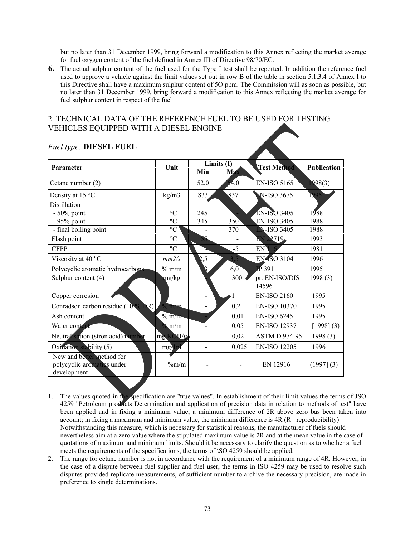but no later than 31 December 1999, bring forward a modification to this Annex reflecting the market average for fuel oxygen content of the fuel defined in Annex III of Directive 98/70/EC.

**6.** The actual sulphur content of the fuel used for the Type I test shall be reported. In addition the reference fuel used to approve a vehicle against the limit values set out in row B of the table in section 5.1.3.4 of Annex I to this Directive shall have a maximum sulphur content of 5O ppm. The Commission will as soon as possible, but no later than 31 December 1999, bring forward a modification to this Annex reflecting the market average for fuel sulphur content in respect of the fuel

## 2. TECHNICAL DATA OF THE REFERENCE FUEL TO BE USED FOR TESTING VEHICLES EQUIPPED WITH A DIESEL ENGINE

| Parameter                                                              | Unit            | Limits (I) |                          | <b>Test Method</b>   | <b>Publication</b> |  |
|------------------------------------------------------------------------|-----------------|------------|--------------------------|----------------------|--------------------|--|
|                                                                        |                 | Min        | <b>Max</b>               |                      |                    |  |
| Cetane number (2)                                                      |                 | 52,0       | $\overline{A}$ ,0        | <b>EN-ISO 5165</b>   | 1998(3)            |  |
| Density at 15 °C                                                       | kg/m3           | 833        | 837                      | <b>EN-ISO 3675</b>   | 1995               |  |
| Distillation                                                           |                 |            |                          |                      |                    |  |
| $-50\%$ point                                                          | $\rm ^{\circ}C$ | 245        |                          | <b>EN-ISO 3405</b>   | 1988               |  |
| - 95% point                                                            | "C              | 345        | 350                      | <b>EN-ISO 3405</b>   | 1988               |  |
| - final boiling point                                                  | $\rm ^{\circ}C$ |            | 370                      | <b>EN-ISO 3405</b>   | 1988               |  |
| Flash point                                                            | $\rm ^{\circ}C$ |            |                          | EN 22719.            | 1993               |  |
| <b>CFPP</b>                                                            | "C              |            | $-5$                     | EN <sup>1</sup>      | 1981               |  |
| Viscosity at 40 "C                                                     | mm2/s           | 2,5        | 3.5                      | <b>EN4SO 3104</b>    | 1996               |  |
| Polycyclic aromatic hydrocarbons                                       | $%$ m/m         | B          | 6,0                      | $\mathbb{P}$ 391     | 1995               |  |
| Sulphur content (4)                                                    | mg/kg           |            | 300                      | pr. EN-ISO/DIS       | 1998(3)            |  |
|                                                                        |                 |            |                          | 14596                |                    |  |
| Copper corrosion                                                       |                 |            |                          | <b>EN-ISO 2160</b>   | 1995               |  |
| Conradson carbon residue $(10\%$ DR)                                   | $\%$ m/m        |            | 0,2                      | <b>EN-ISO 10370</b>  | 1995               |  |
| Ash content                                                            | $\%$ m/m        |            | 0,01                     | <b>EN-ISO 6245</b>   | 1995               |  |
| Water content                                                          | $\mu$ m/m       |            | 0,05                     | <b>EN-ISO 12937</b>  | [1998] (3)         |  |
| Neutralisation (stron acid) number                                     | mg KOH/g        |            | 0,02                     | <b>ASTM D 974-95</b> | 1998(3)            |  |
| Oxidation stability (5)                                                | mg/dp           |            | 0,025                    | <b>EN-ISO 12205</b>  | 1996               |  |
| New and better method for<br>polycyclic aromatics under<br>development | $\%m/m$         |            | $\overline{\phantom{0}}$ | EN 12916             | (1997)(3)          |  |

#### *Fuel type:* **DIESEL FUEL**

- 1. The values quoted in the specification are "true values". In establishment of their limit values the terms of JSO 4259 "Petroleum products Determination and application of precision data in relation to methods of test" have been applied and in fixing a minimum value, a minimum difference of 2R above zero bas been taken into account; in fixing a maximum and minimum value, the minimum difference is  $4R$  ( $R$  =reproducibility) Notwithstanding this measure, which is necessary for statistical reasons, the manufacturer of fuels should nevertheless aim at a zero value where the stipulated maximum value is 2R and at the mean value in the case of quotations of maximum and minimum limits. Should it be necessary to clarify the question as to whether a fuel meets the requirements of the specifications, the terms of \SO 4259 should be applied.
- 2. The range for cetane number is not in accordance with the requirement of a minimum range of 4R. However, in the case of a dispute between fuel supplier and fuel user, the terms in ISO 4259 may be used to resolve such disputes provided replicate measurements, of sufficient number to archive the necessary precision, are made in preference to single determinations.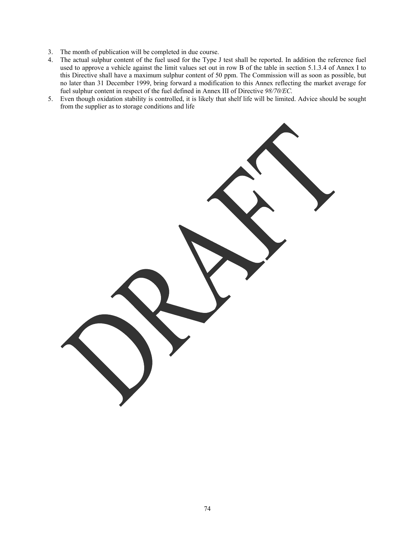- 3. The month of publication will be completed in due course.
- 4. The actual sulphur content of the fuel used for the Type J test shall be reported. In addition the reference fuel used to approve a vehicle against the limit values set out in row B of the table in section 5.1.3.4 of Annex I to this Directive shall have a maximum sulphur content of 50 ppm. The Commission will as soon as possible, but no later than 31 December 1999, bring forward a modification to this Annex reflecting the market average for fuel sulphur content in respect of the fuel defined in Annex III of Directive *98/70/EC.*
- 5. Even though oxidation stability is controlled, it is likely that shelf life will be limited. Advice should be sought from the supplier as to storage conditions and life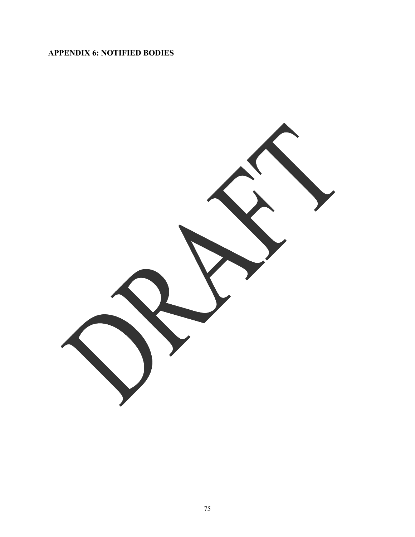# **APPENDIX 6: NOTIFIED BODIES**

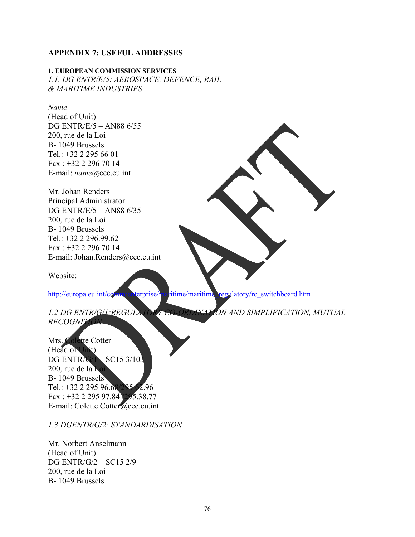## **APPENDIX 7: USEFUL ADDRESSES**

**1. EUROPEAN COMMISSION SERVICES**  *1.1. DG ENTR/E/5: AEROSPACE, DEFENCE, RAIL & MARITIME INDUSTRIES* 

#### *Name*

(Head of Unit) DG ENTR/E/5 – AN88 6/55 200, rue de la Loi B- 1049 Brussels Tel.: +32 2 295 66 01 Fax : +32 2 296 70 14 E-mail: *name*@cec.eu.int

Mr. Johan Renders Principal Administrator DG ENTR/E/5 – AN88 6/35 200, rue de la Loi B- 1049 Brussels Tel.: +32 2 296.99.62 Fax : +32 2 296 70 14 E-mail: Johan.Renders@cec.eu.int

Website:

http://europa.eu.int/comm/enterprise/maritime/maritime\_regulatory/rc\_switchboard.htm

*1.2 DG ENTR/G/1:REGULATORY CO-ORDINATION AND SIMPLIFICATION, MUTUAL RECOGNITIO* 

Mrs. Colette Cotter (Head of Unit) DG ENTR/G/1 – SC15 3/103 200, rue de la Loi B- 1049 Brussels Tel.: +32 2 295 96.68/295 62.96 Fax : +32 2 295 97.84 /295.38.77 E-mail: Colette.Cotter@cec.eu.int

*1.3 DGENTR/G/2: STANDARDISATION* 

Mr. Norbert Anselmann (Head of Unit) DG ENTR/G/2 – SC15 2/9 200, rue de la Loi B- 1049 Brussels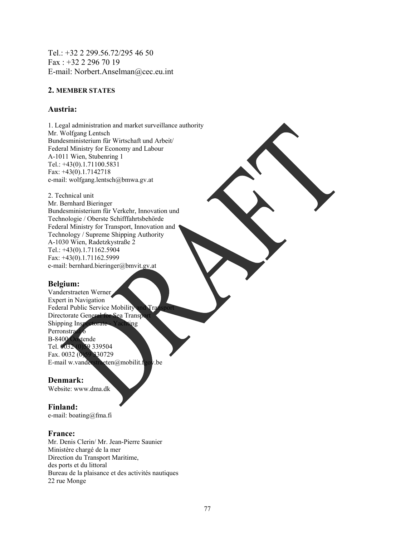Tel.: +32 2 299.56.72/295 46 50 Fax : +32 2 296 70 19 E-mail: Norbert.Anselman@cec.eu.int

#### **2. MEMBER STATES**

#### **Austria:**

1. Legal administration and market surveillance authority Mr. Wolfgang Lentsch Bundesministerium für Wirtschaft und Arbeit/ Federal Ministry for Economy and Labour A-1011 Wien, Stubenring 1 Tel.: +43(0).1.71100.5831 Fax: +43(0).1.7142718 e-mail: wolfgang.lentsch@bmwa.gv.at

2. Technical unit Mr. Bernhard Bieringer Bundesministerium für Verkehr, Innovation und Technologie / Oberste Schifffahrtsbehörde Federal Ministry for Transport, Innovation and Technology / Supreme Shipping Authority A-1030 Wien, Radetzkystraße 2 Tel.: +43(0).1.71162.5904 Fax: +43(0).1.71162.5999 e-mail: bernhard.bieringer@bmvit.gv.at

#### **Belgium:**

Vanderstraeten Werner Expert in Navigation Federal Public Service Mobility and Tra Directorate General for Sea Transpo Shipping Inspectorate - Yachting Perronstraat 6 B-8400 Oostende Tel. 0032 (0)59 339504 Fax. 0032 (0)59 330729 E-mail w.vanderstraeten@mobilit.fgov.be

## **Denmark:**

Website: www.dma.dk

## **Finland:**

e-mail: boating@fma.fi

#### **France:**

Mr. Denis Clerin/ Mr. Jean-Pierre Saunier Ministère chargé de la mer Direction du Transport Maritime, des ports et du littoral Bureau de la plaisance et des activités nautiques 22 rue Monge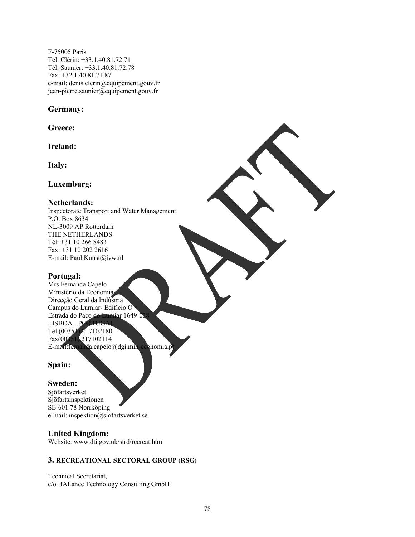F-75005 Paris Tél: Clérin: +33.1.40.81.72.71 Tél: Saunier: +33.1.40.81.72.78 Fax: +32.1.40.81.71.87 e-mail: denis.clerin@equipement.gouv.fr jean-pierre.saunier@equipement.gouv.fr

#### **Germany:**

**Greece:** 

**Ireland:** 

**Italy:** 

**Luxemburg:** 

#### **Netherlands:**

Inspectorate Transport and Water Management P.O. Box 8634 NL-3009 AP Rotterdam THE NETHERLANDS Tél: +31 10 266 8483 Fax: +31 10 202 2616 E-mail: Paul.Kunst@ivw.nl

## **Portugal:**

Mrs Fernanda Capelo Ministério da Economia Direcção Geral da Indústria Campus do Lumiar- Edifício O Estrada do Paço do Lumiar 1649-03 LISBOA - PORTUGA Tel (00351) 217102180 Fax(00351) 217102114 É-mail:fernanda.capelo@dgi.min-economia.p

## **Spain:**

## **Sweden:**

Sjöfartsverket Sjöfartsinspektionen SE-601 78 Norrköping e-mail: inspektion@sjofartsverket.se

## **United Kingdom:**

Website: www.dti.gov.uk/strd/recreat.htm

## **3. RECREATIONAL SECTORAL GROUP (RSG)**

Technical Secretariat, c/o BALance Technology Consulting GmbH